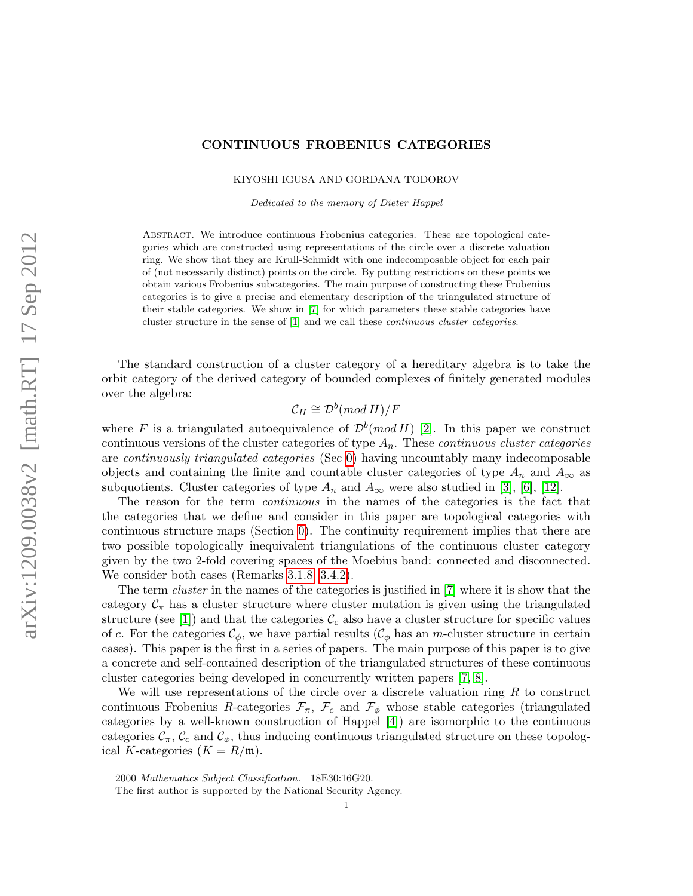### <span id="page-0-0"></span>CONTINUOUS FROBENIUS CATEGORIES

KIYOSHI IGUSA AND GORDANA TODOROV

Dedicated to the memory of Dieter Happel

Abstract. We introduce continuous Frobenius categories. These are topological categories which are constructed using representations of the circle over a discrete valuation ring. We show that they are Krull-Schmidt with one indecomposable object for each pair of (not necessarily distinct) points on the circle. By putting restrictions on these points we obtain various Frobenius subcategories. The main purpose of constructing these Frobenius categories is to give a precise and elementary description of the triangulated structure of their stable categories. We show in [\[7\]](#page-20-0) for which parameters these stable categories have cluster structure in the sense of [\[1\]](#page-19-0) and we call these continuous cluster categories.

The standard construction of a cluster category of a hereditary algebra is to take the orbit category of the derived category of bounded complexes of finitely generated modules over the algebra:

$$
\mathcal{C}_H \cong \mathcal{D}^b (mod\, H)/F
$$

where F is a triangulated autoequivalence of  $\mathcal{D}^b (mod H)$  [\[2\]](#page-19-1). In this paper we construct continuous versions of the cluster categories of type  $A_n$ . These *continuous cluster categories* are continuously triangulated categories (Sec [0\)](#page-1-0) having uncountably many indecomposable objects and containing the finite and countable cluster categories of type  $A_n$  and  $A_\infty$  as subquotients. Cluster categories of type  $A_n$  and  $A_\infty$  were also studied in [\[3\]](#page-19-2), [\[6\]](#page-19-3), [\[12\]](#page-20-1).

The reason for the term continuous in the names of the categories is the fact that the categories that we define and consider in this paper are topological categories with continuous structure maps (Section [0\)](#page-1-0). The continuity requirement implies that there are two possible topologically inequivalent triangulations of the continuous cluster category given by the two 2-fold covering spaces of the Moebius band: connected and disconnected. We consider both cases (Remarks [3.1.8,](#page-16-0) [3.4.2\)](#page-19-4).

The term *cluster* in the names of the categories is justified in [\[7\]](#page-20-0) where it is show that the category  $\mathcal{C}_{\pi}$  has a cluster structure where cluster mutation is given using the triangulated structure (see [\[1\]](#page-19-0)) and that the categories  $\mathcal{C}_c$  also have a cluster structure for specific values of c. For the categories  $\mathcal{C}_{\phi}$ , we have partial results ( $\mathcal{C}_{\phi}$  has an m-cluster structure in certain cases). This paper is the first in a series of papers. The main purpose of this paper is to give a concrete and self-contained description of the triangulated structures of these continuous cluster categories being developed in concurrently written papers [\[7,](#page-20-0) [8\]](#page-20-2).

We will use representations of the circle over a discrete valuation ring  $R$  to construct continuous Frobenius R-categories  $\mathcal{F}_{\pi}$ ,  $\mathcal{F}_{c}$  and  $\mathcal{F}_{\phi}$  whose stable categories (triangulated categories by a well-known construction of Happel [\[4\]](#page-19-5)) are isomorphic to the continuous categories  $\mathcal{C}_{\pi}$ ,  $\mathcal{C}_{c}$  and  $\mathcal{C}_{\phi}$ , thus inducing continuous triangulated structure on these topological K-categories  $(K = R/m)$ .

<sup>2000</sup> Mathematics Subject Classification. 18E30:16G20.

The first author is supported by the National Security Agency.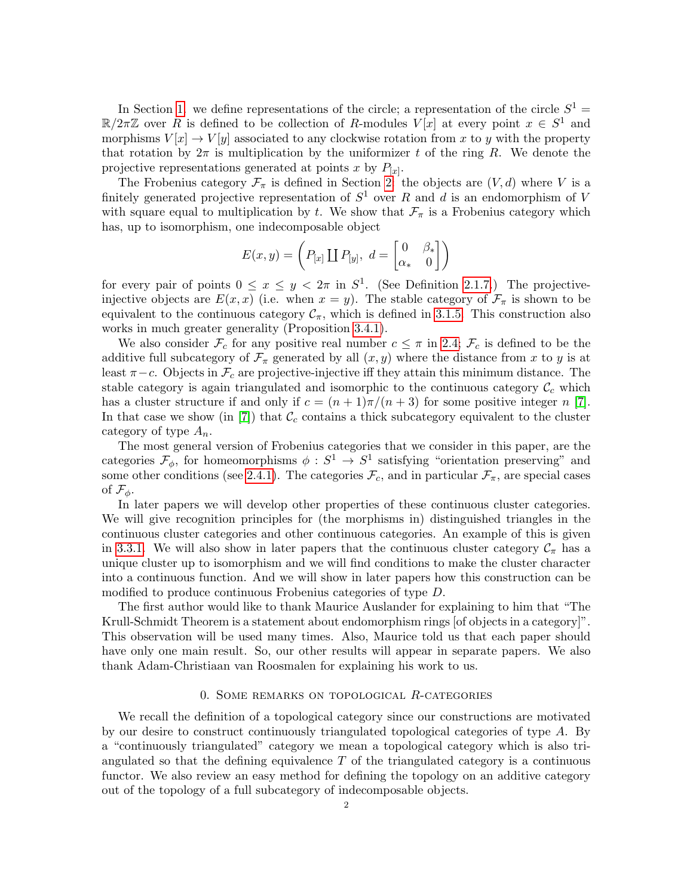In Section [1.](#page-3-0) we define representations of the circle; a representation of the circle  $S^1$  =  $\mathbb{R}/2\pi\mathbb{Z}$  over R is defined to be collection of R-modules  $V[x]$  at every point  $x \in S^1$  and morphisms  $V[x] \to V[y]$  associated to any clockwise rotation from x to y with the property that rotation by  $2\pi$  is multiplication by the uniformizer t of the ring R. We denote the projective representations generated at points x by  $P_{[x]}$ .

The Frobenius category  $\mathcal{F}_{\pi}$  is defined in Section [2:](#page-6-0) the objects are  $(V, d)$  where V is a finitely generated projective representation of  $S^1$  over R and d is an endomorphism of V with square equal to multiplication by t. We show that  $\mathcal{F}_{\pi}$  is a Frobenius category which has, up to isomorphism, one indecomposable object

$$
E(x,y) = \left(P_{[x]} \coprod P_{[y]}, d = \begin{bmatrix} 0 & \beta_* \\ \alpha_* & 0 \end{bmatrix}\right)
$$

for every pair of points  $0 \le x \le y < 2\pi$  in  $S^1$ . (See Definition [2.1.7.](#page-8-0)) The projectiveinjective objects are  $E(x, x)$  (i.e. when  $x = y$ ). The stable category of  $\mathcal{F}_{\pi}$  is shown to be equivalent to the continuous category  $\mathcal{C}_{\pi}$ , which is defined in [3.1.5.](#page-15-0) This construction also works in much greater generality (Proposition [3.4.1\)](#page-19-6).

We also consider  $\mathcal{F}_c$  for any positive real number  $c \leq \pi$  in [2.4;](#page-12-0)  $\mathcal{F}_c$  is defined to be the additive full subcategory of  $\mathcal{F}_{\pi}$  generated by all  $(x, y)$  where the distance from x to y is at least  $\pi-c$ . Objects in  $\mathcal{F}_c$  are projective-injective iff they attain this minimum distance. The stable category is again triangulated and isomorphic to the continuous category  $\mathcal{C}_c$  which has a cluster structure if and only if  $c = (n+1)\pi/(n+3)$  for some positive integer n [\[7\]](#page-20-0). In that case we show (in [\[7\]](#page-20-0)) that  $\mathcal{C}_c$  contains a thick subcategory equivalent to the cluster category of type  $A_n$ .

The most general version of Frobenius categories that we consider in this paper, are the categories  $\mathcal{F}_{\phi}$ , for homeomorphisms  $\phi: S^1 \to S^1$  satisfying "orientation preserving" and some other conditions (see [2.4.1\)](#page-12-1). The categories  $\mathcal{F}_c$ , and in particular  $\mathcal{F}_{\pi}$ , are special cases of  $\mathcal{F}_{\phi}$ .

In later papers we will develop other properties of these continuous cluster categories. We will give recognition principles for (the morphisms in) distinguished triangles in the continuous cluster categories and other continuous categories. An example of this is given in [3.3.1.](#page-17-0) We will also show in later papers that the continuous cluster category  $\mathcal{C}_{\pi}$  has a unique cluster up to isomorphism and we will find conditions to make the cluster character into a continuous function. And we will show in later papers how this construction can be modified to produce continuous Frobenius categories of type D.

The first author would like to thank Maurice Auslander for explaining to him that "The Krull-Schmidt Theorem is a statement about endomorphism rings [of objects in a category]". This observation will be used many times. Also, Maurice told us that each paper should have only one main result. So, our other results will appear in separate papers. We also thank Adam-Christiaan van Roosmalen for explaining his work to us.

#### 0. SOME REMARKS ON TOPOLOGICAL  $R$ -CATEGORIES

<span id="page-1-0"></span>We recall the definition of a topological category since our constructions are motivated by our desire to construct continuously triangulated topological categories of type A. By a "continuously triangulated" category we mean a topological category which is also triangulated so that the defining equivalence  $T$  of the triangulated category is a continuous functor. We also review an easy method for defining the topology on an additive category out of the topology of a full subcategory of indecomposable objects.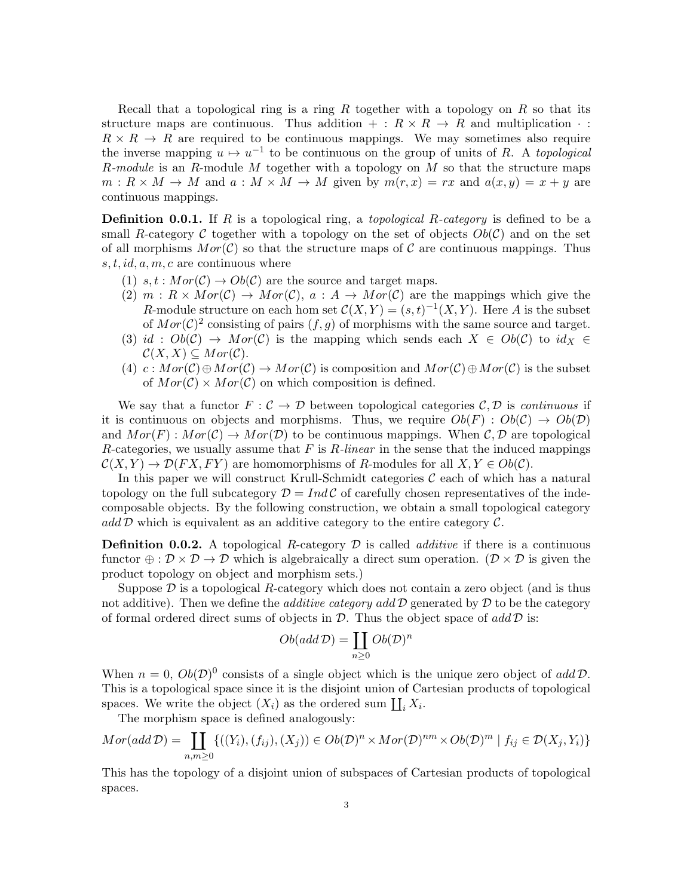Recall that a topological ring is a ring R together with a topology on R so that its structure maps are continuous. Thus addition  $+ : R \times R \rightarrow R$  and multiplication  $\cdot :$  $R \times R \rightarrow R$  are required to be continuous mappings. We may sometimes also require the inverse mapping  $u \mapsto u^{-1}$  to be continuous on the group of units of R. A topological R-module is an R-module  $M$  together with a topology on  $M$  so that the structure maps  $m: R \times M \to M$  and  $a: M \times M \to M$  given by  $m(r, x) = rx$  and  $a(x, y) = x + y$  are continuous mappings.

**Definition 0.0.1.** If R is a topological ring, a *topological R-category* is defined to be a small R-category C together with a topology on the set of objects  $Ob(\mathcal{C})$  and on the set of all morphisms  $Mor(\mathcal{C})$  so that the structure maps of  $\mathcal{C}$  are continuous mappings. Thus  $s, t, id, a, m, c$  are continuous where

- (1)  $s, t : Mor(C) \to Ob(C)$  are the source and target maps.
- $(2)$  m :  $R \times Mor(\mathcal{C}) \rightarrow Mor(\mathcal{C}), a : A \rightarrow Mor(\mathcal{C})$  are the mappings which give the R-module structure on each hom set  $\mathcal{C}(X,Y) = (s,t)^{-1}(X,Y)$ . Here A is the subset of  $Mor(\mathcal{C})^2$  consisting of pairs  $(f, g)$  of morphisms with the same source and target.
- (3) id:  $Ob(\mathcal{C}) \rightarrow Mor(\mathcal{C})$  is the mapping which sends each  $X \in Ob(\mathcal{C})$  to  $id_X \in$  $\mathcal{C}(X,X)\subseteq Mor(\mathcal{C}).$
- (4) c :  $Mor(\mathcal{C}) \oplus Mor(\mathcal{C}) \rightarrow Mor(\mathcal{C})$  is composition and  $Mor(\mathcal{C}) \oplus Mor(\mathcal{C})$  is the subset of  $Mor(\mathcal{C}) \times Mor(\mathcal{C})$  on which composition is defined.

We say that a functor  $F: \mathcal{C} \to \mathcal{D}$  between topological categories  $\mathcal{C}, \mathcal{D}$  is continuous if it is continuous on objects and morphisms. Thus, we require  $Ob(F) : Ob(\mathcal{C}) \to Ob(\mathcal{D})$ and  $Mor(F) : Mor(\mathcal{C}) \to Mor(\mathcal{D})$  to be continuous mappings. When  $\mathcal{C}, \mathcal{D}$  are topological R-categories, we usually assume that  $F$  is  $R$ -linear in the sense that the induced mappings  $\mathcal{C}(X, Y) \to \mathcal{D}(FX, FY)$  are homomorphisms of R-modules for all  $X, Y \in Ob(\mathcal{C})$ .

In this paper we will construct Krull-Schmidt categories  $C$  each of which has a natural topology on the full subcategory  $\mathcal{D} = Ind \mathcal{C}$  of carefully chosen representatives of the indecomposable objects. By the following construction, we obtain a small topological category add  $\mathcal D$  which is equivalent as an additive category to the entire category  $\mathcal C$ .

<span id="page-2-0"></span>**Definition 0.0.2.** A topological R-category  $\mathcal{D}$  is called *additive* if there is a continuous functor  $\oplus : \mathcal{D} \times \mathcal{D} \to \mathcal{D}$  which is algebraically a direct sum operation. ( $\mathcal{D} \times \mathcal{D}$  is given the product topology on object and morphism sets.)

Suppose  $\mathcal D$  is a topological R-category which does not contain a zero object (and is thus not additive). Then we define the *additive category add*  $\mathcal D$  generated by  $\mathcal D$  to be the category of formal ordered direct sums of objects in  $\mathcal{D}$ . Thus the object space of  $\alpha d\alpha \mathcal{D}$  is:

$$
Ob(\operatorname{add}\nolimits{\mathcal{D}}) = \coprod_{n \geq 0} Ob(\mathcal{D})^n
$$

When  $n = 0$ ,  $Ob(\mathcal{D})^0$  consists of a single object which is the unique zero object of add  $\mathcal{D}$ . This is a topological space since it is the disjoint union of Cartesian products of topological spaces. We write the object  $(X_i)$  as the ordered sum  $\coprod_i X_i$ .

The morphism space is defined analogously:

$$
Mor(\operatorname{add}\nolimits \mathcal{D}) = \coprod_{n,m \geq 0} \{((Y_i),(f_{ij}),(X_j)) \in Ob(\mathcal{D})^n \times Mor(\mathcal{D})^{nm} \times Ob(\mathcal{D})^m \mid f_{ij} \in \mathcal{D}(X_j,Y_i)\}
$$

This has the topology of a disjoint union of subspaces of Cartesian products of topological spaces.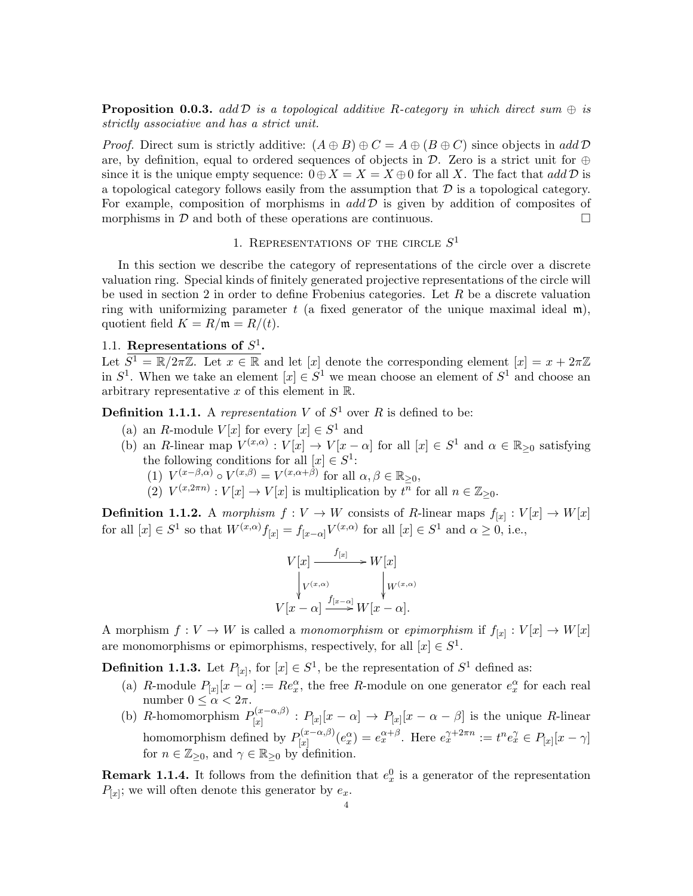**Proposition 0.0.3.** add D is a topological additive R-category in which direct sum  $\oplus$  is strictly associative and has a strict unit.

*Proof.* Direct sum is strictly additive:  $(A \oplus B) \oplus C = A \oplus (B \oplus C)$  since objects in add D are, by definition, equal to ordered sequences of objects in  $\mathcal{D}$ . Zero is a strict unit for  $\oplus$ since it is the unique empty sequence:  $0 \oplus X = X = X \oplus 0$  for all X. The fact that add D is a topological category follows easily from the assumption that  $\mathcal D$  is a topological category. For example, composition of morphisms in  $add\,\mathcal{D}$  is given by addition of composites of morphisms in  $D$  and both of these operations are continuous.  $\Box$ 

# 1. REPRESENTATIONS OF THE CIRCLE  $S^1$

<span id="page-3-0"></span>In this section we describe the category of representations of the circle over a discrete valuation ring. Special kinds of finitely generated projective representations of the circle will be used in section 2 in order to define Frobenius categories. Let  $R$  be a discrete valuation ring with uniformizing parameter  $t$  (a fixed generator of the unique maximal ideal  $\mathfrak{m}$ ), quotient field  $K = R/\mathfrak{m} = R/(t)$ .

## 1.1. Representations of  $S^1$ .

Let  $\overline{S^1 = \mathbb{R}/2\pi\mathbb{Z}$ . Let  $x \in \mathbb{R}$  and let [x] denote the corresponding element  $[x] = x + 2\pi\mathbb{Z}$ in  $S^1$ . When we take an element  $[x] \in S^1$  we mean choose an element of  $S^1$  and choose an arbitrary representative  $x$  of this element in  $\mathbb{R}$ .

**Definition 1.1.1.** A representation V of  $S^1$  over R is defined to be:

- (a) an R-module  $V[x]$  for every  $[x] \in S^1$  and
- (b) an R-linear map  $V^{(x,\alpha)}: V[x] \to V[x-\alpha]$  for all  $[x] \in S^1$  and  $\alpha \in \mathbb{R}_{\geq 0}$  satisfying the following conditions for all  $[x] \in S^1$ :
	- (1)  $V^{(x-\beta,\alpha)} \circ V^{(x,\beta)} = V^{(x,\alpha+\beta)}$  for all  $\alpha, \beta \in \mathbb{R}_{\geq 0}$ ,
	- (2)  $V^{(x,2\pi n)}: V[x] \to V[x]$  is multiplication by  $t^n$  for all  $n \in \mathbb{Z}_{\geq 0}$ .

**Definition 1.1.2.** A morphism  $f: V \to W$  consists of R-linear maps  $f_{[x]}: V[x] \to W[x]$ for all  $[x] \in S^1$  so that  $W^{(x,\alpha)} f_{[x]} = f_{[x-\alpha]} V^{(x,\alpha)}$  for all  $[x] \in S^1$  and  $\alpha \geq 0$ , i.e.,

$$
V[x] \xrightarrow{f_{[x]}} W[x] \longrightarrow W[x]
$$
  
\n
$$
\sqrt{\begin{array}{ccc} V^{(x,\alpha)} & \sqrt{\begin{array}{c} V^{(x,\alpha)} \end{array}} \\ V[x-\alpha] \xrightarrow{f_{[x-\alpha]}} W[x-\alpha]. \end{array}}
$$

A morphism  $f: V \to W$  is called a monomorphism or epimorphism if  $f_{[x]}: V[x] \to W[x]$ are monomorphisms or epimorphisms, respectively, for all  $[x] \in S^1$ .

**Definition 1.1.3.** Let  $P_{[x]}$ , for  $[x] \in S^1$ , be the representation of  $S^1$  defined as:

- (a) R-module  $P_{[x]}[x-\alpha] := Re_x^{\alpha}$ , the free R-module on one generator  $e_x^{\alpha}$  for each real number  $0 \leq \alpha < 2\pi$ .
- (b) R-homomorphism  $P_{[x]}^{(x-\alpha,\beta)}$  $\Gamma_{[x]}^{(x=\alpha,\beta)}: P_{[x]}[x-\alpha] \to P_{[x]}[x-\alpha-\beta]$  is the unique R-linear homomorphism defined by  $P_{[x]}^{(x-\alpha,\beta)}$  $\Gamma_{[x]}^{(x-\alpha,\beta)}(e_x^{\alpha})=e_x^{\alpha+\beta}.$  Here  $e_x^{\gamma+2\pi n}:=t^ne_x^{\gamma}\in P_{[x]}[x-\gamma]$ for  $n \in \mathbb{Z}_{\geq 0}$ , and  $\gamma \in \mathbb{R}_{\geq 0}$  by definition.

**Remark 1.1.4.** It follows from the definition that  $e_x^0$  is a generator of the representation  $P_{[x]}$ ; we will often denote this generator by  $e_x$ .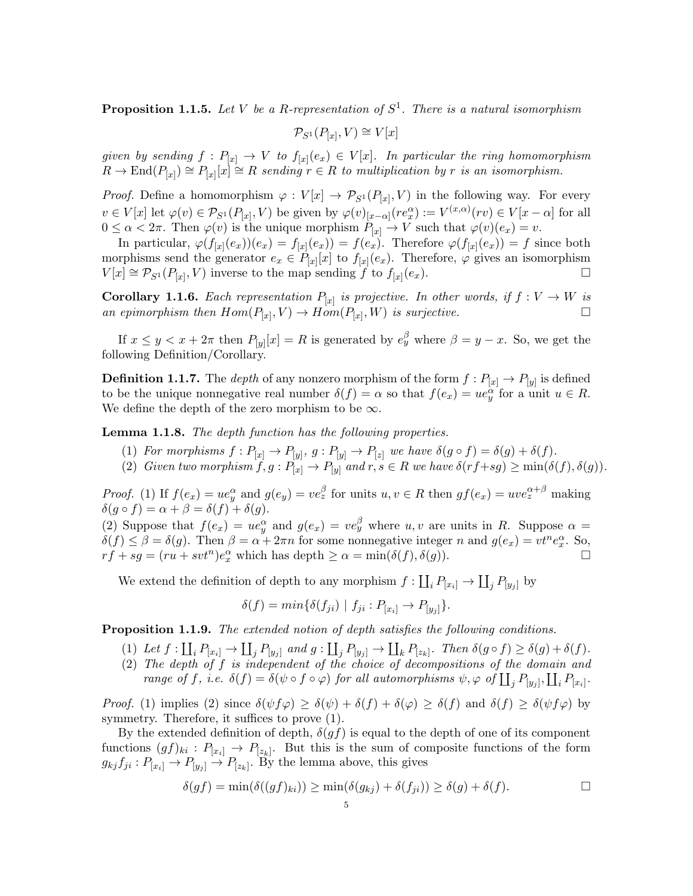**Proposition 1.1.5.** Let V be a R-representation of  $S^1$ . There is a natural isomorphism

$$
\mathcal{P}_{S^1}(P_{[x]}, V) \cong V[x]
$$

given by sending  $f: P_{[x]} \to V$  to  $f_{[x]}(e_x) \in V[x]$ . In particular the ring homomorphism  $R \to \text{End}(P_{[x]}) \cong P_{[x]}[x] \cong R$  sending  $r \in R$  to multiplication by r is an isomorphism.

*Proof.* Define a homomorphism  $\varphi: V[x] \to \mathcal{P}_{S^1}(P_{[x]}, V)$  in the following way. For every  $v \in V[x]$  let  $\varphi(v) \in \mathcal{P}_{S^1}(P_{[x]}, V)$  be given by  $\varphi(v)_{[x-\alpha]}(re_x^{\alpha}) := V^{(x,\alpha)}(rv) \in V[x-\alpha]$  for all  $0 \leq \alpha < 2\pi$ . Then  $\varphi(v)$  is the unique morphism  $P_{[x]} \to V$  such that  $\varphi(v)(e_x) = v$ .

In particular,  $\varphi(f_{[x]}(e_x))(e_x) = f_{[x]}(e_x) = f(e_x)$ . Therefore  $\varphi(f_{[x]}(e_x)) = f$  since both morphisms send the generator  $e_x \in P_{[x]}[x]$  to  $f_{[x]}(e_x)$ . Therefore,  $\varphi$  gives an isomorphism  $V[x] \cong \mathcal{P}_{S^1}(P_{[x]}, V)$  inverse to the map sending f to  $f_{[x]}$  $(e_x)$ .

**Corollary 1.1.6.** Each representation  $P_{[x]}$  is projective. In other words, if  $f: V \to W$  is an epimorphism then  $Hom(P_{[x]}, V) \to Hom(P_{[x]}, W)$  is surjective.

If  $x \leq y < x + 2\pi$  then  $P_{[y]}[x] = R$  is generated by  $e_y^{\beta}$  where  $\beta = y - x$ . So, we get the following Definition/Corollary.

<span id="page-4-0"></span>**Definition 1.1.7.** The *depth* of any nonzero morphism of the form  $f: P_{[x]} \to P_{[y]}$  is defined to be the unique nonnegative real number  $\delta(f) = \alpha$  so that  $f(e_x) = ue_y^{\alpha}$  for a unit  $u \in R$ . We define the depth of the zero morphism to be  $\infty$ .

**Lemma 1.1.8.** The depth function has the following properties.

- (1) For morphisms  $f: P_{[x]} \to P_{[y]}, g: P_{[y]} \to P_{[z]}$  we have  $\delta(g \circ f) = \delta(g) + \delta(f)$ .
- (2) Given two morphism  $f, g : P_{[x]} \to P_{[y]}$  and  $r, s \in R$  we have  $\delta(rf+sg) \ge \min(\delta(f), \delta(g))$ .

*Proof.* (1) If  $f(e_x) = ue_y^{\alpha}$  and  $g(e_y) = ve_z^{\beta}$  for units  $u, v \in R$  then  $gf(e_x) = uve_z^{\alpha+\beta}$  making  $\delta(g \circ f) = \alpha + \beta = \delta(f) + \delta(g).$ 

(2) Suppose that  $f(e_x) = ue_y^{\alpha}$  and  $g(e_x) = ve_y^{\beta}$  where  $u, v$  are units in R. Suppose  $\alpha =$  $\delta(f) \leq \beta = \delta(g)$ . Then  $\beta = \alpha + 2\pi n$  for some nonnegative integer n and  $g(e_x) = vt^n e_x^{\alpha}$ . So,  $rf + sg = (ru + svt^n)e_x^{\alpha}$  which has depth  $\geq \alpha = \min(\delta(f), \delta(g)).$ 

We extend the definition of depth to any morphism  $f: \coprod_i P_{[x_i]} \to \coprod_j P_{[y_j]}$  by

$$
\delta(f) = \min \{ \delta(f_{ji}) \mid f_{ji} : P_{[x_i]} \to P_{[y_j]} \}.
$$

Proposition 1.1.9. The extended notion of depth satisfies the following conditions.

- (1) Let  $f: \coprod_i P_{[x_i]} \to \coprod_j P_{[y_j]}$  and  $g: \coprod_j P_{[y_j]} \to \coprod_k P_{[z_k]}$ . Then  $\delta(g \circ f) \geq \delta(g) + \delta(f)$ .
- (2) The depth of f is independent of the choice of decompositions of the domain and range of f, i.e.  $\delta(f) = \delta(\psi \circ f \circ \varphi)$  for all automorphisms  $\psi, \varphi$  of  $\coprod_j P_{[y_j]}, \coprod_i P_{[x_i]}$ .

Proof. (1) implies (2) since  $\delta(\psi f \varphi) \geq \delta(\psi) + \delta(f) + \delta(\varphi) \geq \delta(f)$  and  $\delta(f) \geq \delta(\psi f \varphi)$  by symmetry. Therefore, it suffices to prove  $(1)$ .

By the extended definition of depth,  $\delta(gf)$  is equal to the depth of one of its component functions  $(gf)_{ki}: P_{[x_i]} \to P_{[z_k]}$ . But this is the sum of composite functions of the form  $g_{kj}f_{ji}: P_{[x_i]} \to P_{[y_j]} \to P_{[z_k]}$ . By the lemma above, this gives

$$
\delta(gf) = \min(\delta((gf)_{ki})) \ge \min(\delta(g_{kj}) + \delta(f_{ji})) \ge \delta(g) + \delta(f).
$$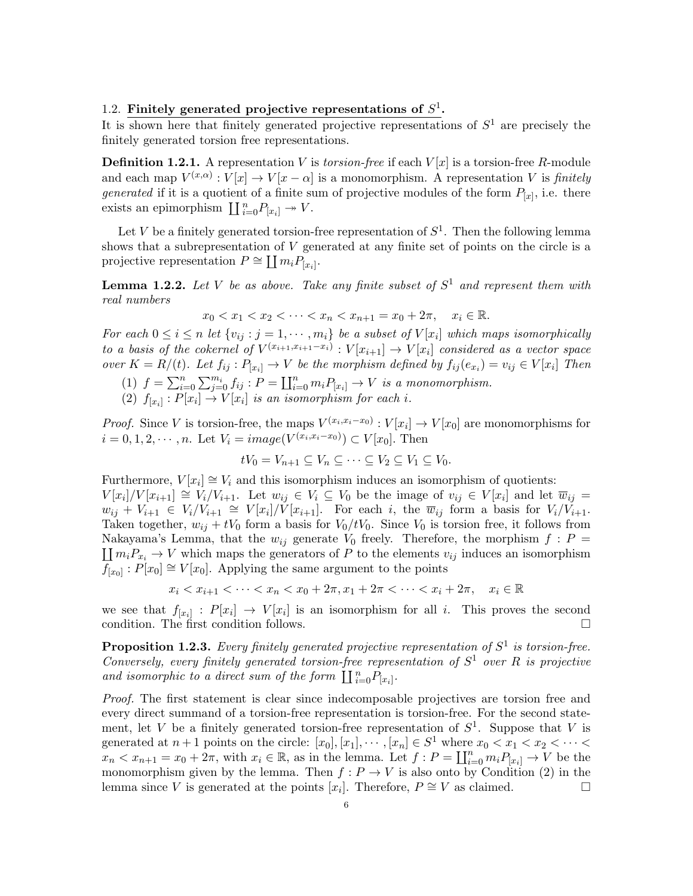## 1.2. Finitely generated projective representations of  $S^1$ .

It is shown here that finitely generated projective representations of  $S^1$  are precisely the finitely generated torsion free representations.

<span id="page-5-0"></span>**Definition 1.2.1.** A representation V is *torsion-free* if each  $V[x]$  is a torsion-free R-module and each map  $V^{(x,\alpha)}: V[x] \to V[x-\alpha]$  is a monomorphism. A representation V is finitely generated if it is a quotient of a finite sum of projective modules of the form  $P_{[x]}$ , i.e. there exists an epimorphism  $\coprod_{i=0}^n P_{[x_i]} \to V$ .

Let V be a finitely generated torsion-free representation of  $S^1$ . Then the following lemma shows that a subrepresentation of  $V$  generated at any finite set of points on the circle is a projective representation  $P \cong \coprod m_i P_{[x_i]}$ .

**Lemma 1.2.2.** Let V be as above. Take any finite subset of  $S^1$  and represent them with real numbers

$$
x_0 < x_1 < x_2 < \dots < x_n < x_{n+1} = x_0 + 2\pi, \quad x_i \in \mathbb{R}.
$$

For each  $0 \leq i \leq n$  let  $\{v_{ij} : j = 1, \cdots, m_i\}$  be a subset of  $V[x_i]$  which maps isomorphically to a basis of the cokernel of  $V^{(x_{i+1},x_{i+1}-x_i)}: V[x_{i+1}] \to V[x_i]$  considered as a vector space over  $K = R/(t)$ . Let  $f_{ij}: P_{[x_i]} \to V$  be the morphism defined by  $f_{ij}(e_{x_i}) = v_{ij} \in V[x_i]$  Then

- (1)  $f = \sum_{i=0}^{n} \sum_{j=0}^{m_i} f_{ij} : P = \coprod_{i=0}^{n} m_i P_{[x_i]} \to V$  is a monomorphism.
- (2)  $f_{[x_i]}: P[x_i] \to V[x_i]$  is an isomorphism for each i.

*Proof.* Since V is torsion-free, the maps  $V^{(x_i,x_i-x_0)}: V[x_i] \to V[x_0]$  are monomorphisms for  $i = 0, 1, 2, \dots, n$ . Let  $V_i = image(V^{(x_i, x_i - x_0)}) \subset V[x_0]$ . Then

$$
tV_0 = V_{n+1} \subseteq V_n \subseteq \cdots \subseteq V_2 \subseteq V_1 \subseteq V_0.
$$

Furthermore,  $V[x_i] \cong V_i$  and this isomorphism induces an isomorphism of quotients:  $V[x_i]/V[x_{i+1}] \cong V_i/V_{i+1}$ . Let  $w_{ij} \in V_i \subseteq V_0$  be the image of  $v_{ij} \in V[x_i]$  and let  $\overline{w}_{ij} =$  $w_{ij} + V_{i+1} \in V_i/V_{i+1} \cong V[x_i]/V[x_{i+1}]$ . For each i, the  $\overline{w}_{ij}$  form a basis for  $V_i/V_{i+1}$ . Taken together,  $w_{ij} + tV_0$  form a basis for  $V_0/tV_0$ . Since  $V_0$  is torsion free, it follows from  $\prod m_i P_{x_i} \to V$  which maps the generators of P to the elements  $v_{ij}$  induces an isomorphism Nakayama's Lemma, that the  $w_{ij}$  generate  $V_0$  freely. Therefore, the morphism  $f : P =$  $f_{[x_0]}: P[x_0] \cong V[x_0]$ . Applying the same argument to the points

$$
x_i < x_{i+1} < \dots < x_n < x_0 + 2\pi, x_1 + 2\pi < \dots < x_i + 2\pi, \quad x_i \in \mathbb{R}
$$

we see that  $f_{[x_i]} : P[x_i] \to V[x_i]$  is an isomorphism for all i. This proves the second condition. The first condition follows.

<span id="page-5-1"></span>**Proposition 1.2.3.** Every finitely generated projective representation of  $S^1$  is torsion-free. Conversely, every finitely generated torsion-free representation of  $S^1$  over R is projective and isomorphic to a direct sum of the form  $\prod_{i=0}^{n} P_{[x_i]}$ .

Proof. The first statement is clear since indecomposable projectives are torsion free and every direct summand of a torsion-free representation is torsion-free. For the second statement, let V be a finitely generated torsion-free representation of  $S^1$ . Suppose that V is generated at  $n+1$  points on the circle:  $[x_0], [x_1], \cdots, [x_n] \in S^1$  where  $x_0 < x_1 < x_2 < \cdots <$  $x_n < x_{n+1} = x_0 + \overline{2\pi}$ , with  $x_i \in \mathbb{R}$ , as in the lemma. Let  $f : P = \coprod_{i=0}^n m_i P_{[x_i]} \to V$  be the monomorphism given by the lemma. Then  $f: P \to V$  is also onto by Condition (2) in the lemma since V is generated at the points  $[x_i]$ . Therefore,  $P \cong V$  as claimed.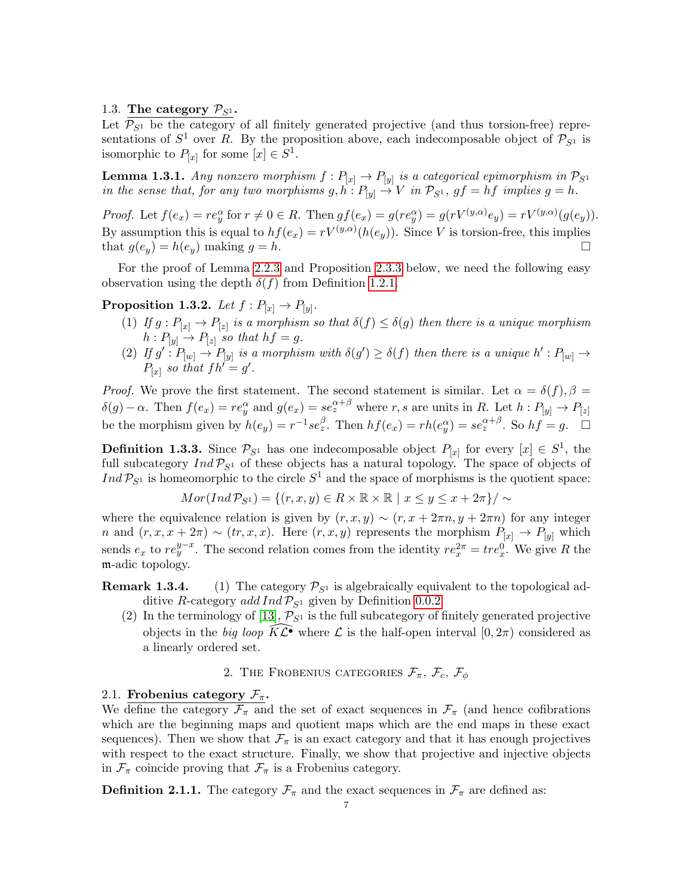1.3. The category  $P_{S^1}$ .

Let  $\overline{\mathcal{P}_{S^1}}$  be the category of all finitely generated projective (and thus torsion-free) representations of  $S^1$  over R. By the proposition above, each indecomposable object of  $\mathcal{P}_{S^1}$  is isomorphic to  $P_{[x]}$  for some  $[x] \in S^1$ .

**Lemma 1.3.1.** Any nonzero morphism  $f: P_{[x]} \to P_{[y]}$  is a categorical epimorphism in  $\mathcal{P}_{S^1}$ in the sense that, for any two morphisms  $g, h : P_{[y]} \to V$  in  $\mathcal{P}_{S^1}$ ,  $gf = hf$  implies  $g = h$ .

Proof. Let  $f(e_x) = re_y^{\alpha}$  for  $r \neq 0 \in R$ . Then  $gf(e_x) = g(re_y^{\alpha}) = g(rV^{(y,\alpha)}e_y) = rV^{(y,\alpha)}(g(e_y))$ . By assumption this is equal to  $hf(e_x) = rV^{(y,\alpha)}(h(e_y))$ . Since V is torsion-free, this implies that  $g(e_y) = h(e_y)$  making  $g = h$ .

For the proof of Lemma [2.2.3](#page-9-0) and Proposition [2.3.3](#page-12-2) below, we need the following easy observation using the depth  $\delta(f)$  from Definition [1.2.1.](#page-5-0)

<span id="page-6-1"></span>Proposition 1.3.2. Let  $f: P_{[x]} \to P_{[y]}.$ 

- (1) If  $g: P_{[x]} \to P_{[z]}$  is a morphism so that  $\delta(f) \leq \delta(g)$  then there is a unique morphism  $h: P_{[y]} \to P_{[z]}$  so that  $hf = g$ .
- (2) If  $g' : P_{[w]} \to P_{[y]}$  is a morphism with  $\delta(g') \geq \delta(f)$  then there is a unique  $h' : P_{[w]} \to P_{[w]}$  $P_{[x]}$  so that  $fh' = g'.$

*Proof.* We prove the first statement. The second statement is similar. Let  $\alpha = \delta(f), \beta =$  $\delta(g) - \alpha$ . Then  $f(e_x) = re_y^{\alpha}$  and  $g(e_x) = se_z^{\alpha+\beta}$  where r, s are units in R. Let  $h: P_{[y]} \to P_{[z]}$ be the morphism given by  $h(e_y) = r^{-1} s e_z^{\beta}$ . Then  $hf(e_x) = rh(e_y^{\alpha}) = s e_z^{\alpha+\beta}$ . So  $hf = g$ .  $\Box$ 

**Definition 1.3.3.** Since  $\mathcal{P}_{S^1}$  has one indecomposable object  $P_{[x]}$  for every  $[x] \in S^1$ , the full subcategory  $Ind \mathcal{P}_{S^1}$  of these objects has a natural topology. The space of objects of  $Ind \mathcal{P}_{S^1}$  is homeomorphic to the circle  $S^1$  and the space of morphisms is the quotient space:

$$
Mor(Ind \mathcal{P}_{S^1}) = \{(r, x, y) \in R \times \mathbb{R} \times \mathbb{R} \mid x \leq y \leq x + 2\pi\}/\sim
$$

where the equivalence relation is given by  $(r, x, y) \sim (r, x + 2\pi n, y + 2\pi n)$  for any integer n and  $(r, x, x + 2\pi) \sim (tr, x, x)$ . Here  $(r, x, y)$  represents the morphism  $P_{[x]} \to P_{[y]}$  which sends  $e_x$  to  $re^{y-x}_{y}$ . The second relation comes from the identity  $re^{2\pi}_{x} = tre^{0}_{x}$ . We give R the m-adic topology.

**Remark 1.3.4.** (1) The category  $\mathcal{P}_{S^1}$  is algebraically equivalent to the topological additive R-category add Ind  $\mathcal{P}_{S^1}$  given by Definition [0.0.2.](#page-2-0)

(2) In the terminology of [\[13\]](#page-20-3),  $\mathcal{P}_{S^1}$  is the full subcategory of finitely generated projective objects in the big loop  $\widetilde{K\mathcal{L}^{\bullet}}$  where  $\mathcal L$  is the half-open interval  $[0, 2\pi)$  considered as a linearly ordered set.

2. THE FROBENIUS CATEGORIES  $\mathcal{F}_{\pi}$ ,  $\mathcal{F}_{c}$ ,  $\mathcal{F}_{\phi}$ 

#### <span id="page-6-0"></span>2.1. Frobenius category  $\mathcal{F}_{\pi}$ .

We define the category  $\mathcal{F}_{\pi}$  and the set of exact sequences in  $\mathcal{F}_{\pi}$  (and hence cofibrations which are the beginning maps and quotient maps which are the end maps in these exact sequences). Then we show that  $\mathcal{F}_{\pi}$  is an exact category and that it has enough projectives with respect to the exact structure. Finally, we show that projective and injective objects in  $\mathcal{F}_{\pi}$  coincide proving that  $\mathcal{F}_{\pi}$  is a Frobenius category.

**Definition 2.1.1.** The category  $\mathcal{F}_{\pi}$  and the exact sequences in  $\mathcal{F}_{\pi}$  are defined as: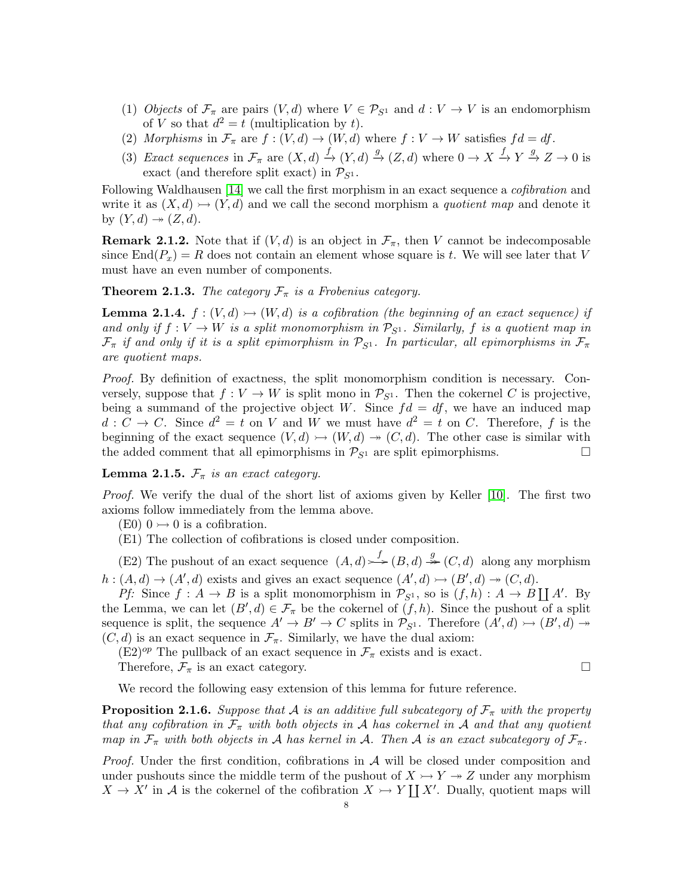- (1) Objects of  $\mathcal{F}_{\pi}$  are pairs  $(V, d)$  where  $V \in \mathcal{P}_{S^1}$  and  $d: V \to V$  is an endomorphism of V so that  $d^2 = t$  (multiplication by t).
- (2) Morphisms in  $\mathcal{F}_{\pi}$  are  $f : (V, d) \to (W, d)$  where  $f : V \to W$  satisfies  $fd = df$ .
- (3) *Exact sequences* in  $\mathcal{F}_{\pi}$  are  $(X,d) \xrightarrow{f} (Y,d) \xrightarrow{g} (Z,d)$  where  $0 \to X \xrightarrow{f} Y \xrightarrow{g} Z \to 0$  is exact (and therefore split exact) in  $\mathcal{P}_{S^1}$ .

Following Waldhausen [\[14\]](#page-20-4) we call the first morphism in an exact sequence a *cofibration* and write it as  $(X, d) \rightarrow (Y, d)$  and we call the second morphism a *quotient map* and denote it by  $(Y, d) \rightarrow (Z, d)$ .

**Remark 2.1.2.** Note that if  $(V, d)$  is an object in  $\mathcal{F}_{\pi}$ , then V cannot be indecomposable since  $\text{End}(P_x) = R$  does not contain an element whose square is t. We will see later that V must have an even number of components.

<span id="page-7-0"></span>**Theorem 2.1.3.** The category  $\mathcal{F}_{\pi}$  is a Frobenius category.

**Lemma 2.1.4.**  $f : (V, d) \rightarrow (W, d)$  is a cofibration (the beginning of an exact sequence) if and only if  $f: V \to W$  is a split monomorphism in  $\mathcal{P}_{S^1}$ . Similarly, f is a quotient map in  $\mathcal{F}_{\pi}$  if and only if it is a split epimorphism in  $\mathcal{P}_{S^1}$ . In particular, all epimorphisms in  $\mathcal{F}_{\pi}$ are quotient maps.

Proof. By definition of exactness, the split monomorphism condition is necessary. Conversely, suppose that  $f: V \to W$  is split mono in  $\mathcal{P}_{S^1}$ . Then the cokernel C is projective, being a summand of the projective object W. Since  $fd = df$ , we have an induced map  $d: C \to C$ . Since  $d^2 = t$  on V and W we must have  $d^2 = t$  on C. Therefore, f is the beginning of the exact sequence  $(V, d) \rightarrow (W, d) \rightarrow (C, d)$ . The other case is similar with the added comment that all epimorphisms in  $\mathcal{P}_{S^1}$  are split epimorphisms.

**Lemma 2.1.5.**  $\mathcal{F}_{\pi}$  is an exact category.

Proof. We verify the dual of the short list of axioms given by Keller [\[10\]](#page-20-5). The first two axioms follow immediately from the lemma above.

(E0)  $0 \rightarrow 0$  is a cofibration.

(E1) The collection of cofibrations is closed under composition.

(E2) The pushout of an exact sequence  $(A, d) \rightarrow B (B, d) \rightarrow (C, d)$  along any morphism  $h:(A,d)\to (A',d)$  exists and gives an exact sequence  $(A',d)\to (B',d)\to (C,d)$ .

Pf: Since  $f : A \to B$  is a split monomorphism in  $\mathcal{P}_{S^1}$ , so is  $(f,h) : A \to B \coprod A'$ . By the Lemma, we can let  $(B', d) \in \mathcal{F}_{\pi}$  be the cokernel of  $(f, h)$ . Since the pushout of a split sequence is split, the sequence  $A' \to B' \to C$  splits in  $\mathcal{P}_{S^1}$ . Therefore  $(A', d) \to (B', d) \to$  $(C, d)$  is an exact sequence in  $\mathcal{F}_{\pi}$ . Similarly, we have the dual axiom:

 $(E2)^{op}$  The pullback of an exact sequence in  $\mathcal{F}_{\pi}$  exists and is exact.

Therefore,  $\mathcal{F}_{\pi}$  is an exact category.

We record the following easy extension of this lemma for future reference.

<span id="page-7-1"></span>**Proposition 2.1.6.** Suppose that A is an additive full subcategory of  $\mathcal{F}_{\pi}$  with the property that any cofibration in  $\mathcal{F}_{\pi}$  with both objects in A has cokernel in A and that any quotient map in  $\mathcal{F}_{\pi}$  with both objects in A has kernel in A. Then A is an exact subcategory of  $\mathcal{F}_{\pi}$ .

*Proof.* Under the first condition, cofibrations in  $A$  will be closed under composition and under pushouts since the middle term of the pushout of  $X \rightarrow Y \rightarrow Z$  under any morphism  $X \to X'$  in A is the cokernel of the cofibration  $X \to Y \coprod X'$ . Dually, quotient maps will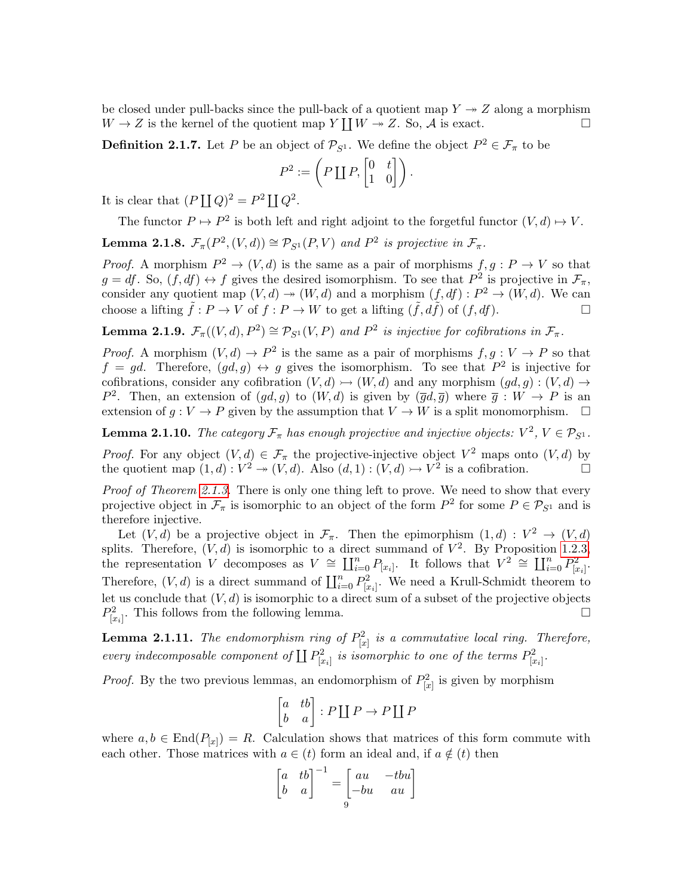be closed under pull-backs since the pull-back of a quotient map  $Y \rightarrow Z$  along a morphism  $W \to Z$  is the kernel of the quotient map  $Y \coprod W \to Z$ . So, A is exact.

<span id="page-8-0"></span>**Definition 2.1.7.** Let P be an object of  $\mathcal{P}_{S^1}$ . We define the object  $P^2 \in \mathcal{F}_{\pi}$  to be

$$
P^2 := \left(P \coprod P, \begin{bmatrix} 0 & t \\ 1 & 0 \end{bmatrix}\right).
$$

It is clear that  $(P \mid [Q]^2 = P^2 \mid [Q^2]$ .

The functor  $P \mapsto P^2$  is both left and right adjoint to the forgetful functor  $(V, d) \mapsto V$ .

**Lemma 2.1.8.**  $\mathcal{F}_{\pi}(P^2,(V,d)) \cong \mathcal{P}_{S^1}(P,V)$  and  $P^2$  is projective in  $\mathcal{F}_{\pi}$ .

*Proof.* A morphism  $P^2 \to (V, d)$  is the same as a pair of morphisms  $f, g: P \to V$  so that  $g = df$ . So,  $(f, df) \leftrightarrow f$  gives the desired isomorphism. To see that  $P^2$  is projective in  $\mathcal{F}_{\pi}$ , consider any quotient map  $(V, d) \twoheadrightarrow (W, d)$  and a morphism  $(f, df) : P^2 \rightarrow (W, d)$ . We can choose a lifting  $\tilde{f}: P \to V$  of  $f: P \to W$  to get a lifting  $(\tilde{f}, d\tilde{f})$  of  $(f, df)$ .

**Lemma 2.1.9.**  $\mathcal{F}_{\pi}((V, d), P^2) \cong \mathcal{P}_{S^1}(V, P)$  and  $P^2$  is injective for cofibrations in  $\mathcal{F}_{\pi}$ .

*Proof.* A morphism  $(V, d) \to P^2$  is the same as a pair of morphisms  $f, g: V \to P$  so that  $f = gd$ . Therefore,  $(gd, g) \leftrightarrow g$  gives the isomorphism. To see that  $P^2$  is injective for cofibrations, consider any cofibration  $(V, d) \rightarrow (W, d)$  and any morphism  $(gd, g) : (V, d) \rightarrow$  $P^2$ . Then, an extension of  $(gd, g)$  to  $(W, d)$  is given by  $(\overline{g}d, \overline{g})$  where  $\overline{g} : W \to P$  is an extension of  $g: V \to P$  given by the assumption that  $V \to W$  is a split monomorphism.  $\Box$ 

**Lemma 2.1.10.** The category  $\mathcal{F}_{\pi}$  has enough projective and injective objects:  $V^2$ ,  $V \in \mathcal{P}_{S^1}$ .

*Proof.* For any object  $(V, d) \in \mathcal{F}_{\pi}$  the projective-injective object  $V^2$  maps onto  $(V, d)$  by the quotient map  $(1, d) : V^2 \to (V, d)$ . Also  $(d, 1) : (V, d) \to V^2$  is a cofibration.

Proof of Theorem [2.1.3.](#page-7-0) There is only one thing left to prove. We need to show that every projective object in  $\mathcal{F}_{\pi}$  is isomorphic to an object of the form  $P^2$  for some  $P \in \mathcal{P}_{S^1}$  and is therefore injective.

Let  $(V, d)$  be a projective object in  $\mathcal{F}_{\pi}$ . Then the epimorphism  $(1, d) : V^2 \to (V, d)$ splits. Therefore,  $(V, d)$  is isomorphic to a direct summand of  $V^2$ . By Proposition [1.2.3,](#page-5-1) the representation V decomposes as  $V \cong \coprod_{i=0}^{n} P_{[x_i]}$ . It follows that  $V^2 \cong \coprod_{i=0}^{n} P_{[x_i]}^2$ . Therefore,  $(V, d)$  is a direct summand of  $\prod_{i=0}^{n} P_{[x_i]}^2$ . We need a Krull-Schmidt theorem to let us conclude that  $(V, d)$  is isomorphic to a direct sum of a subset of the projective objects  $P_{[x_i]}^2$ . This follows from the following lemma.

<span id="page-8-1"></span>**Lemma 2.1.11.** The endomorphism ring of  $P_{[x]}^2$  is a commutative local ring. Therefore, every indecomposable component of  $\prod P^2_{[x_i]}$  is isomorphic to one of the terms  $P^2_{[x_i]}$ .

*Proof.* By the two previous lemmas, an endomorphism of  $P_{[x]}^2$  is given by morphism

$$
\begin{bmatrix} a & tb \\ b & a \end{bmatrix} : P \coprod P \to P \coprod P
$$

where  $a, b \in \text{End}(P_{[x]}) = R$ . Calculation shows that matrices of this form commute with each other. Those matrices with  $a \in (t)$  form an ideal and, if  $a \notin (t)$  then

$$
\begin{bmatrix} a & tb \\ b & a \end{bmatrix}^{-1} = \begin{bmatrix} au & -tbu \\ -bu & au \end{bmatrix}
$$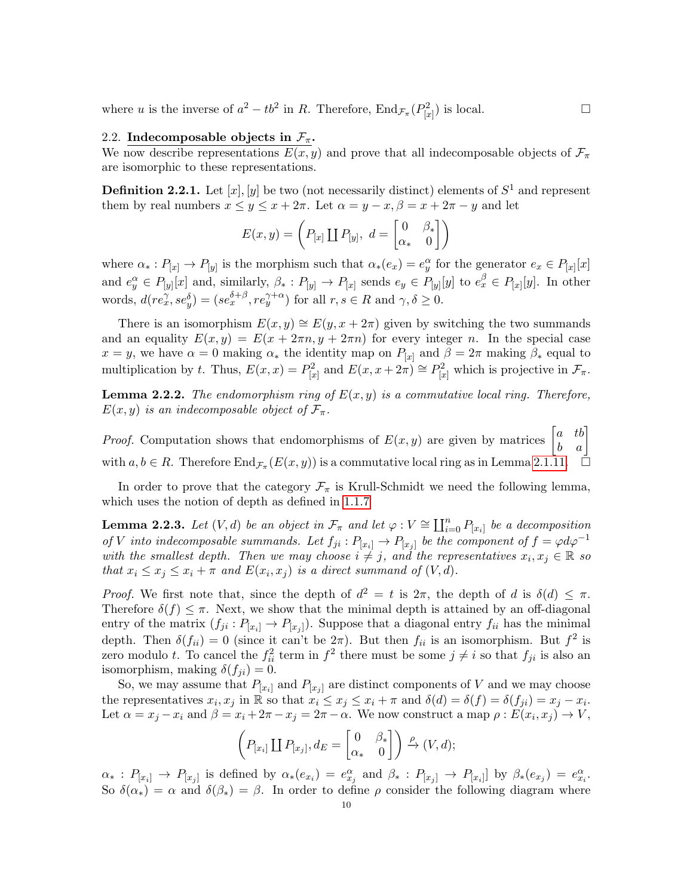where u is the inverse of  $a^2 - tb^2$  in R. Therefore,  $\text{End}_{\mathcal{F}_{\pi}}(P_{[x]}^2)$  is local.

## 2.2. Indecomposable objects in  $\mathcal{F}_{\pi}$ .

We now describe representations  $E(x, y)$  and prove that all indecomposable objects of  $\mathcal{F}_{\pi}$ are isomorphic to these representations.

**Definition 2.2.1.** Let  $[x]$ ,  $[y]$  be two (not necessarily distinct) elements of  $S^1$  and represent them by real numbers  $x \le y \le x + 2\pi$ . Let  $\alpha = y - x, \beta = x + 2\pi - y$  and let

$$
E(x,y) = \left(P_{[x]} \coprod P_{[y]}, d = \begin{bmatrix} 0 & \beta_* \\ \alpha_* & 0 \end{bmatrix}\right)
$$

where  $\alpha_* : P_{[x]} \to P_{[y]}$  is the morphism such that  $\alpha_*(e_x) = e_y^{\alpha}$  for the generator  $e_x \in P_{[x]}[x]$ and  $e_y^{\alpha} \in P_{[y]}[x]$  and, similarly,  $\beta_*: P_{[y]} \to P_{[x]}$  sends  $e_y \in P_{[y]}[y]$  to  $e_x^{\beta} \in P_{[x]}[y]$ . In other words,  $d(re_x^{\gamma}, se_y^{\delta}) = (se_x^{\delta+\beta}, re_y^{\gamma+\alpha})$  for all  $r, s \in R$  and  $\gamma, \delta \ge 0$ .

There is an isomorphism  $E(x, y) \cong E(y, x + 2\pi)$  given by switching the two summands and an equality  $E(x, y) = E(x + 2\pi n, y + 2\pi n)$  for every integer n. In the special case  $x = y$ , we have  $\alpha = 0$  making  $\alpha_*$  the identity map on  $P_{[x]}$  and  $\beta = 2\pi$  making  $\beta_*$  equal to multiplication by t. Thus,  $E(x, x) = P_{[x]}^2$  and  $E(x, x + 2\pi) \cong P_{[x]}^2$  which is projective in  $\mathcal{F}_{\pi}$ .

**Lemma 2.2.2.** The endomorphism ring of  $E(x, y)$  is a commutative local ring. Therefore,  $E(x, y)$  is an indecomposable object of  $\mathcal{F}_{\pi}$ .

*Proof.* Computation shows that endomorphisms of  $E(x, y)$  are given by matrices  $\begin{bmatrix} a & tb \\ b & a \end{bmatrix}$ with  $a, b \in R$ . Therefore  $\text{End}_{\mathcal{F}_\pi}(E(x, y))$  is a commutative local ring as in Lemma [2.1.11.](#page-8-1)  $\Box$ 

In order to prove that the category  $\mathcal{F}_{\pi}$  is Krull-Schmidt we need the following lemma, which uses the notion of depth as defined in [1.1.7](#page-4-0)

<span id="page-9-0"></span>**Lemma 2.2.3.** Let  $(V, d)$  be an object in  $\mathcal{F}_{\pi}$  and let  $\varphi : V \cong \coprod_{i=0}^{n} P_{[x_i]}$  be a decomposition of V into indecomposable summands. Let  $f_{ji}: P_{[x_i]} \to P_{[x_j]}$  be the component of  $f = \varphi d\varphi^{-1}$ with the smallest depth. Then we may choose  $i \neq j$ , and the representatives  $x_i, x_j \in \mathbb{R}$  so that  $x_i \leq x_j \leq x_i + \pi$  and  $E(x_i, x_j)$  is a direct summand of  $(V, d)$ .

Proof. We first note that, since the depth of  $d^2 = t$  is  $2\pi$ , the depth of d is  $\delta(d) \leq \pi$ . Therefore  $\delta(f) \leq \pi$ . Next, we show that the minimal depth is attained by an off-diagonal entry of the matrix  $(f_{ji}: P_{[x_i]} \to P_{[x_j]})$ . Suppose that a diagonal entry  $f_{ii}$  has the minimal depth. Then  $\delta(f_{ii}) = 0$  (since it can't be  $2\pi$ ). But then  $f_{ii}$  is an isomorphism. But  $f^2$  is zero modulo t. To cancel the  $f_{ii}^2$  term in  $f^2$  there must be some  $j \neq i$  so that  $f_{ji}$  is also an isomorphism, making  $\delta(f_{ji}) = 0$ .

So, we may assume that  $P_{[x_i]}$  and  $P_{[x_j]}$  are distinct components of V and we may choose the representatives  $x_i, x_j$  in  $\mathbb{R}$  so that  $x_i \leq x_j \leq x_i + \pi$  and  $\delta(d) = \delta(f) = \delta(f_{ji}) = x_j - x_i$ . Let  $\alpha = x_j - x_i$  and  $\beta = x_i + 2\pi - x_j = 2\pi - \alpha$ . We now construct a map  $\rho : E(x_i, x_j) \to V$ ,

$$
\left(P_{[x_i]}\coprod P_{[x_j]},d_E=\begin{bmatrix}0&\beta_*\\ \alpha_*&0\end{bmatrix}\right)\stackrel{\rho}{\to}(V,d);
$$

 $\alpha_*$ :  $P_{[x_i]} \to P_{[x_j]}$  is defined by  $\alpha_*(e_{x_i}) = e_{x_j}^{\alpha}$  and  $\beta_*$ :  $P_{[x_j]} \to P_{[x_i]}$  by  $\beta_*(e_{x_j}) = e_{x_i}^{\alpha}$ . So  $\delta(\alpha_*) = \alpha$  and  $\delta(\beta_*) = \beta$ . In order to define  $\rho$  consider the following diagram where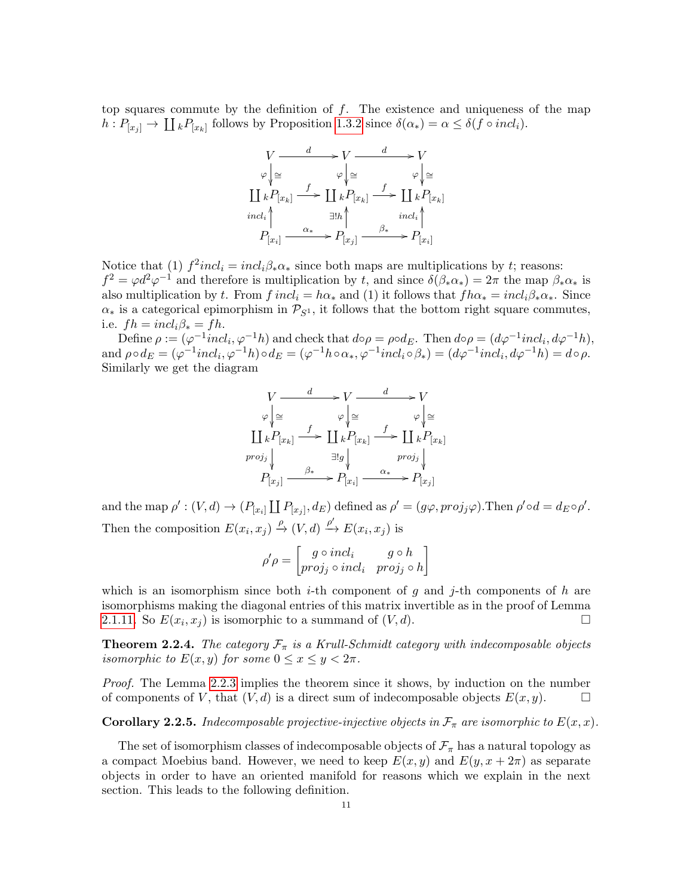top squares commute by the definition of  $f$ . The existence and uniqueness of the map  $h: P_{[x_j]} \to \coprod_k P_{[x_k]}$  follows by Proposition [1.3.2](#page-6-1) since  $\delta(\alpha_*) = \alpha \leq \delta(f \circ incl_i)$ .



Notice that (1)  $f^2 incl_i = incl_i \beta_* \alpha_*$  since both maps are multiplications by t; reasons:  $f^2 = \varphi d^2 \varphi^{-1}$  and therefore is multiplication by t, and since  $\delta(\beta_* \alpha_*) = 2\pi$  the map  $\beta_* \alpha_*$  is also multiplication by t. From f incl<sub>i</sub> = h $\alpha_*$  and (1) it follows that  $fh\alpha_* = incl_i\beta_*\alpha_*$ . Since  $\alpha_*$  is a categorical epimorphism in  $\mathcal{P}_{S^1}$ , it follows that the bottom right square commutes, i.e.  $fh = incl_i \beta_* = fh$ .

Define  $\rho := (\varphi^{-1} incl_i, \varphi^{-1} h)$  and check that  $d \circ \rho = \rho \circ d_E$ . Then  $d \circ \rho = (d \varphi^{-1} incl_i, d \varphi^{-1} h)$ , and  $\rho \circ d_E = (\varphi^{-1} incl_i, \varphi^{-1} h) \circ d_E = (\varphi^{-1} h \circ \alpha_*, \varphi^{-1} incl_i \circ \beta_*) = (d\varphi^{-1} incl_i, d\varphi^{-1} h) = d \circ \rho.$ Similarly we get the diagram

$$
V \xrightarrow{d} V \xrightarrow{d} V
$$
  
\n
$$
\varphi \downarrow \cong \varphi \downarrow \cong \varphi \downarrow \cong
$$
  
\n
$$
\coprod_{r \in \mathcal{F}_{\{x_k\}}} \xrightarrow{f} \coprod_{s} k P_{[x_k]} \xrightarrow{f} \coprod_{s} k P_{[x_k]}
$$
  
\n
$$
\longrightarrow_{proj_j} \downarrow \longrightarrow_{reg_j} \longrightarrow_{reg_j} \downarrow_{reg_j}
$$
  
\n
$$
P_{[x_j]} \xrightarrow{B_*} P_{[x_i]} \xrightarrow{\alpha_*} P_{[x_j]}
$$

and the map  $\rho' : (V, d) \to (P_{[x_i]} \coprod P_{[x_j]}, d_E)$  defined as  $\rho' = (g\varphi, proj_j\varphi)$ . Then  $\rho' \circ d = d_E \circ \rho'$ . Then the composition  $E(x_i, x_j) \stackrel{\rho}{\to} (V, d) \stackrel{\rho'}{\to} E(x_i, x_j)$  is

$$
\rho'\rho = \begin{bmatrix} g \circ incl_i & g \circ h \\ proj_j \circ incl_i & proj_j \circ h \end{bmatrix}
$$

which is an isomorphism since both *i*-th component of g and j-th components of h are isomorphisms making the diagonal entries of this matrix invertible as in the proof of Lemma [2.1.11.](#page-8-1) So  $E(x_i, x_j)$  is isomorphic to a summand of  $(V, d)$ .

<span id="page-10-0"></span>**Theorem 2.2.4.** The category  $\mathcal{F}_{\pi}$  is a Krull-Schmidt category with indecomposable objects isomorphic to  $E(x, y)$  for some  $0 \le x \le y < 2\pi$ .

Proof. The Lemma [2.2.3](#page-9-0) implies the theorem since it shows, by induction on the number of components of V, that  $(V, d)$  is a direct sum of indecomposable objects  $E(x, y)$ .

**Corollary 2.2.5.** Indecomposable projective-injective objects in  $\mathcal{F}_{\pi}$  are isomorphic to  $E(x, x)$ .

The set of isomorphism classes of indecomposable objects of  $\mathcal{F}_{\pi}$  has a natural topology as a compact Moebius band. However, we need to keep  $E(x, y)$  and  $E(y, x + 2\pi)$  as separate objects in order to have an oriented manifold for reasons which we explain in the next section. This leads to the following definition.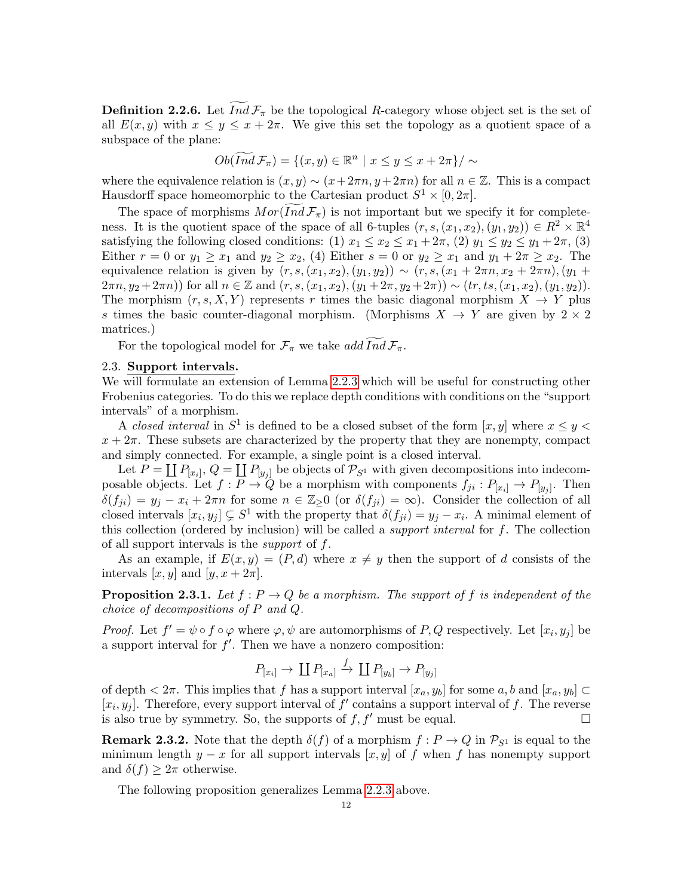**Definition 2.2.6.** Let  $\widetilde{Ind} \mathcal{F}_{\pi}$  be the topological R-category whose object set is the set of all  $E(x, y)$  with  $x \leq y \leq x + 2\pi$ . We give this set the topology as a quotient space of a subspace of the plane:

$$
Ob(\widetilde{Ind}\,\mathcal{F}_\pi) = \{(x,y) \in \mathbb{R}^n \mid x \leq y \leq x + 2\pi\} / \sim
$$

where the equivalence relation is  $(x, y) \sim (x + 2\pi n, y + 2\pi n)$  for all  $n \in \mathbb{Z}$ . This is a compact Hausdorff space homeomorphic to the Cartesian product  $S^1 \times [0, 2\pi]$ .

The space of morphisms  $Mor(Ind \mathcal{F}_{\pi})$  is not important but we specify it for completeness. It is the quotient space of the space of all 6-tuples  $(r, s, (x_1, x_2), (y_1, y_2)) \in R^2 \times \mathbb{R}^4$ satisfying the following closed conditions: (1)  $x_1 \le x_2 \le x_1 + 2\pi$ , (2)  $y_1 \le y_2 \le y_1 + 2\pi$ , (3) Either  $r = 0$  or  $y_1 \ge x_1$  and  $y_2 \ge x_2$ , (4) Either  $s = 0$  or  $y_2 \ge x_1$  and  $y_1 + 2\pi \ge x_2$ . The equivalence relation is given by  $(r, s, (x_1, x_2), (y_1, y_2)) \sim (r, s, (x_1 + 2\pi n, x_2 + 2\pi n), (y_1 +$  $(2\pi n, y_2 + 2\pi n)$  for all  $n \in \mathbb{Z}$  and  $(r, s, (x_1, x_2), (y_1 + 2\pi, y_2 + 2\pi)) \sim (tr, ts, (x_1, x_2), (y_1, y_2)).$ The morphism  $(r, s, X, Y)$  represents r times the basic diagonal morphism  $X \to Y$  plus s times the basic counter-diagonal morphism. (Morphisms  $X \to Y$  are given by  $2 \times 2$ matrices.)

For the topological model for  $\mathcal{F}_{\pi}$  we take add Ind  $\mathcal{F}_{\pi}$ .

#### 2.3. Support intervals.

We will formulate an extension of Lemma [2.2.3](#page-9-0) which will be useful for constructing other Frobenius categories. To do this we replace depth conditions with conditions on the "support intervals" of a morphism.

A closed interval in  $S^1$  is defined to be a closed subset of the form  $[x, y]$  where  $x \le y$  $x + 2\pi$ . These subsets are characterized by the property that they are nonempty, compact and simply connected. For example, a single point is a closed interval.

Let  $P = \coprod P_{[x_i]}, Q = \coprod P_{[y_j]}$  be objects of  $\mathcal{P}_{S^1}$  with given decompositions into indecomposable objects. Let  $f: P \to Q$  be a morphism with components  $f_{ji}: P_{[x_i]} \to P_{[y_j]}$ . Then  $\delta(f_{ji}) = y_j - x_i + 2\pi n$  for some  $n \in \mathbb{Z}_{\geq}$  (or  $\delta(f_{ji}) = \infty$ ). Consider the collection of all closed intervals  $[x_i, y_j] \subsetneq S^1$  with the property that  $\delta(f_{ji}) = y_j - x_i$ . A minimal element of this collection (ordered by inclusion) will be called a *support interval* for  $f$ . The collection of all support intervals is the support of f.

As an example, if  $E(x, y) = (P, d)$  where  $x \neq y$  then the support of d consists of the intervals  $[x, y]$  and  $[y, x + 2\pi]$ .

**Proposition 2.3.1.** Let  $f : P \to Q$  be a morphism. The support of f is independent of the choice of decompositions of P and Q.

*Proof.* Let  $f' = \psi \circ f \circ \varphi$  where  $\varphi, \psi$  are automorphisms of P, Q respectively. Let  $[x_i, y_j]$  be a support interval for  $f'$ . Then we have a nonzero composition:

$$
P_{[x_i]} \to \coprod P_{[x_a]} \xrightarrow{f} \coprod P_{[y_b]} \to P_{[y_j]}
$$

of depth  $\langle 2\pi$ . This implies that f has a support interval  $[x_a, y_b]$  for some  $a, b$  and  $[x_a, y_b] \subset$  $[x_i, y_j]$ . Therefore, every support interval of  $f'$  contains a support interval of f. The reverse is also true by symmetry. So, the supports of  $f, f'$  must be equal.

**Remark 2.3.2.** Note that the depth  $\delta(f)$  of a morphism  $f : P \to Q$  in  $\mathcal{P}_{S^1}$  is equal to the minimum length  $y - x$  for all support intervals  $[x, y]$  of f when f has nonempty support and  $\delta(f) \geq 2\pi$  otherwise.

The following proposition generalizes Lemma [2.2.3](#page-9-0) above.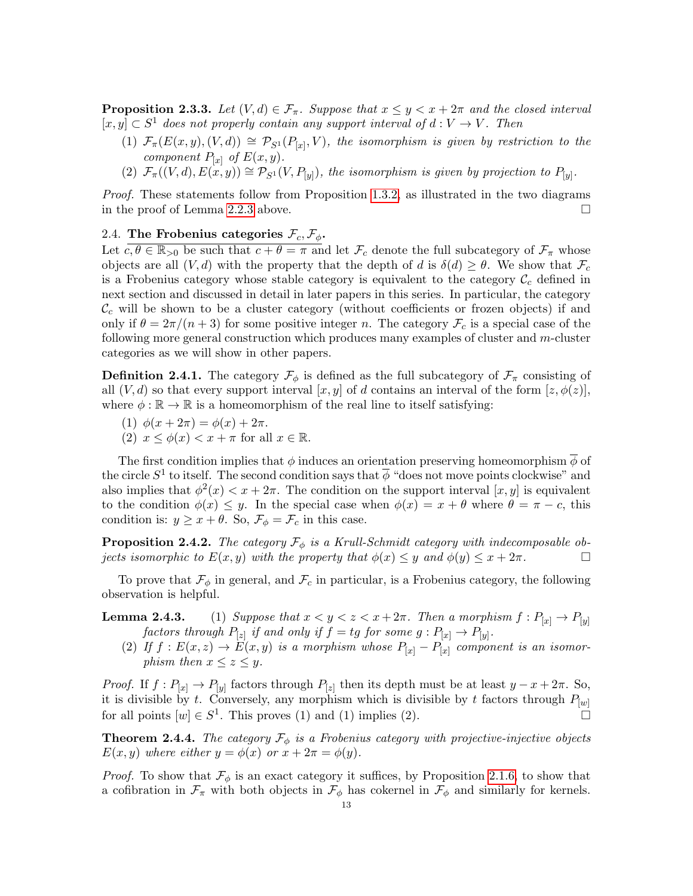<span id="page-12-2"></span>**Proposition 2.3.3.** Let  $(V, d) \in \mathcal{F}_{\pi}$ . Suppose that  $x \leq y \leq x + 2\pi$  and the closed interval  $[x, y] \subset S^1$  does not properly contain any support interval of  $d: V \to V$ . Then

- (1)  $\mathcal{F}_{\pi}(E(x,y), (V, d)) \cong \mathcal{P}_{S^1}(P_{[x]}, V)$ , the isomorphism is given by restriction to the component  $P_{[x]}$  of  $E(x, y)$ .
- $(2)$   $\mathcal{F}_{\pi}((V, d), E(x, y)) \cong \mathcal{P}_{S^1}(V, P_{[y]}),$  the isomorphism is given by projection to  $P_{[y]}.$

Proof. These statements follow from Proposition [1.3.2,](#page-6-1) as illustrated in the two diagrams in the proof of Lemma [2.2.3](#page-9-0) above.

## <span id="page-12-0"></span>2.4. The Frobenius categories  $\mathcal{F}_c, \mathcal{F}_\phi$ .

Let  $c, \theta \in \mathbb{R}_{>0}$  be such that  $c + \theta = \pi$  and let  $\mathcal{F}_c$  denote the full subcategory of  $\mathcal{F}_\pi$  whose objects are all  $(V, d)$  with the property that the depth of d is  $\delta(d) \geq \theta$ . We show that  $\mathcal{F}_c$ is a Frobenius category whose stable category is equivalent to the category  $\mathcal{C}_c$  defined in next section and discussed in detail in later papers in this series. In particular, the category  $\mathcal{C}_c$  will be shown to be a cluster category (without coefficients or frozen objects) if and only if  $\theta = 2\pi/(n+3)$  for some positive integer n. The category  $\mathcal{F}_c$  is a special case of the following more general construction which produces many examples of cluster and m-cluster categories as we will show in other papers.

<span id="page-12-1"></span>**Definition 2.4.1.** The category  $\mathcal{F}_{\phi}$  is defined as the full subcategory of  $\mathcal{F}_{\pi}$  consisting of all  $(V, d)$  so that every support interval  $[x, y]$  of d contains an interval of the form  $[z, \phi(z)]$ , where  $\phi : \mathbb{R} \to \mathbb{R}$  is a homeomorphism of the real line to itself satisfying:

- (1)  $\phi(x+2\pi) = \phi(x) + 2\pi$ .
- (2)  $x \leq \phi(x) < x + \pi$  for all  $x \in \mathbb{R}$ .

The first condition implies that  $\phi$  induces an orientation preserving homeomorphism  $\overline{\phi}$  of the circle  $S^1$  to itself. The second condition says that  $\overline{\phi}$  "does not move points clockwise" and also implies that  $\phi^2(x) < x + 2\pi$ . The condition on the support interval  $[x, y]$  is equivalent to the condition  $\phi(x) \leq y$ . In the special case when  $\phi(x) = x + \theta$  where  $\theta = \pi - c$ , this condition is:  $y \geq x + \theta$ . So,  $\mathcal{F}_{\phi} = \mathcal{F}_{c}$  in this case.

<span id="page-12-3"></span>**Proposition 2.4.2.** The category  $\mathcal{F}_{\phi}$  is a Krull-Schmidt category with indecomposable objects isomorphic to  $E(x, y)$  with the property that  $\phi(x) \leq y$  and  $\phi(y) \leq x + 2\pi$ .

To prove that  $\mathcal{F}_{\phi}$  in general, and  $\mathcal{F}_{c}$  in particular, is a Frobenius category, the following observation is helpful.

**Lemma 2.4.3.** (1) Suppose that  $x < y < z < x + 2\pi$ . Then a morphism  $f : P_{[x]} \to P_{[y]}$ factors through  $P_{[z]}$  if and only if  $f = tg$  for some  $g: P_{[x]} \to P_{[y]}.$ 

(2) If  $f: E(x, z) \to E(x, y)$  is a morphism whose  $P_{[x]} - P_{[x]}$  component is an isomorphism then  $x \leq z \leq y$ .

*Proof.* If  $f: P_{[x]} \to P_{[y]}$  factors through  $P_{[z]}$  then its depth must be at least  $y - x + 2\pi$ . So, it is divisible by t. Conversely, any morphism which is divisible by t factors through  $P_{[w]}$ for all points  $[w] \in S^1$ . This proves (1) and (1) implies (2).

**Theorem 2.4.4.** The category  $\mathcal{F}_{\phi}$  is a Frobenius category with projective-injective objects  $E(x, y)$  where either  $y = \phi(x)$  or  $x + 2\pi = \phi(y)$ .

*Proof.* To show that  $\mathcal{F}_{\phi}$  is an exact category it suffices, by Proposition [2.1.6,](#page-7-1) to show that a cofibration in  $\mathcal{F}_{\pi}$  with both objects in  $\mathcal{F}_{\phi}$  has cokernel in  $\mathcal{F}_{\phi}$  and similarly for kernels.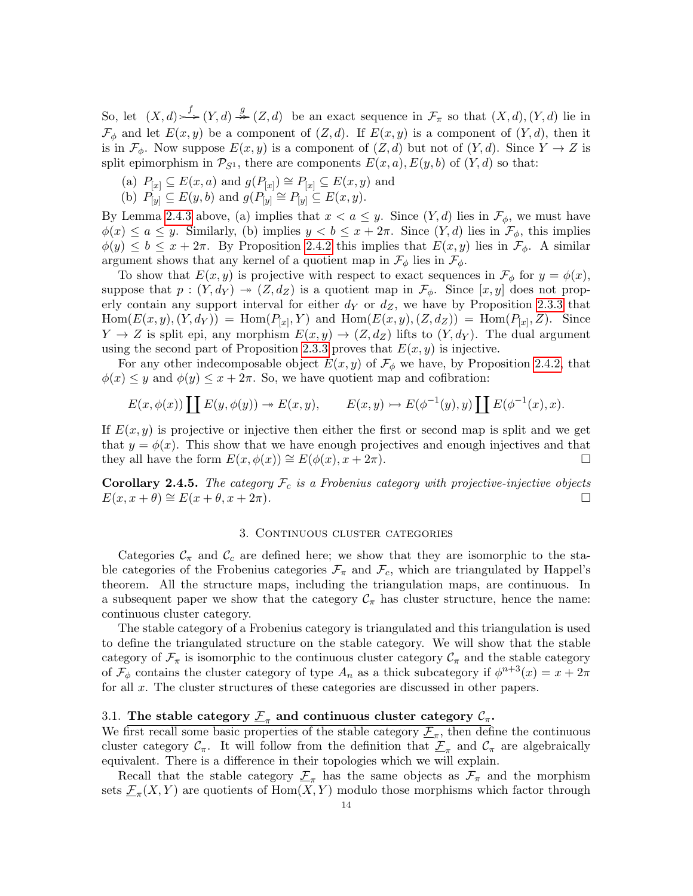So, let  $(X, d) \longrightarrow^{f} (Y, d) \longrightarrow^{g} (Z, d)$  be an exact sequence in  $\mathcal{F}_{\pi}$  so that  $(X, d), (Y, d)$  lie in  $\mathcal{F}_{\phi}$  and let  $E(x, y)$  be a component of  $(Z, d)$ . If  $E(x, y)$  is a component of  $(Y, d)$ , then it is in  $\mathcal{F}_{\phi}$ . Now suppose  $E(x, y)$  is a component of  $(Z, d)$  but not of  $(Y, d)$ . Since  $Y \to Z$  is split epimorphism in  $\mathcal{P}_{S^1}$ , there are components  $E(x, a)$ ,  $E(y, b)$  of  $(Y, d)$  so that:

- (a)  $P_{[x]} \subseteq E(x, a)$  and  $g(P_{[x]}) \cong P_{[x]} \subseteq E(x, y)$  and
- (b)  $P_{[y]}^{\left[\omega\right]} \subseteq E(y, b)$  and  $g(P_{[y]}^{\left[\omega\right]} \cong P_{[y]} \subseteq E(x, y)$ .

By Lemma [2.4.3](#page-0-0) above, (a) implies that  $x < a \leq y$ . Since  $(Y, d)$  lies in  $\mathcal{F}_{\phi}$ , we must have  $\phi(x) \le a \le y$ . Similarly, (b) implies  $y < b \le x + 2\pi$ . Since  $(Y, d)$  lies in  $\mathcal{F}_{\phi}$ , this implies  $\phi(y) \leq b \leq x + 2\pi$ . By Proposition [2.4.2](#page-12-3) this implies that  $E(x, y)$  lies in  $\mathcal{F}_{\phi}$ . A similar argument shows that any kernel of a quotient map in  $\mathcal{F}_{\phi}$  lies in  $\mathcal{F}_{\phi}$ .

To show that  $E(x, y)$  is projective with respect to exact sequences in  $\mathcal{F}_{\phi}$  for  $y = \phi(x)$ , suppose that  $p:(Y, d_Y) \twoheadrightarrow (Z, d_Z)$  is a quotient map in  $\mathcal{F}_{\phi}$ . Since  $[x, y]$  does not properly contain any support interval for either  $d_Y$  or  $d_Z$ , we have by Proposition [2.3.3](#page-12-2) that  $Hom(E(x, y), (Y, d_Y)) = Hom(P_{[x]}, Y)$  and  $Hom(E(x, y), (Z, d_Z)) = Hom(P_{[x]}, Z)$ . Since  $Y \to Z$  is split epi, any morphism  $E(x, y) \to (Z, d_Z)$  lifts to  $(Y, d_Y)$ . The dual argument using the second part of Proposition [2.3.3](#page-12-2) proves that  $E(x, y)$  is injective.

For any other indecomposable object  $E(x, y)$  of  $\mathcal{F}_{\phi}$  we have, by Proposition [2.4.2,](#page-12-3) that  $\phi(x) \leq y$  and  $\phi(y) \leq x + 2\pi$ . So, we have quotient map and cofibration:

$$
E(x, \phi(x)) \coprod E(y, \phi(y)) \to E(x, y), \qquad E(x, y) \to E(\phi^{-1}(y), y) \coprod E(\phi^{-1}(x), x).
$$

If  $E(x, y)$  is projective or injective then either the first or second map is split and we get that  $y = \phi(x)$ . This show that we have enough projectives and enough injectives and that they all have the form  $E(x, \phi(x)) \cong E(\phi(x), x + 2\pi)$ .

**Corollary 2.4.5.** The category  $\mathcal{F}_c$  is a Frobenius category with projective-injective objects  $E(x, x + \theta) \cong E(x + \theta, x + 2\pi).$ 

#### 3. CONTINUOUS CLUSTER CATEGORIES

Categories  $\mathcal{C}_{\pi}$  and  $\mathcal{C}_{c}$  are defined here; we show that they are isomorphic to the stable categories of the Frobenius categories  $\mathcal{F}_{\pi}$  and  $\mathcal{F}_{c}$ , which are triangulated by Happel's theorem. All the structure maps, including the triangulation maps, are continuous. In a subsequent paper we show that the category  $\mathcal{C}_{\pi}$  has cluster structure, hence the name: continuous cluster category.

The stable category of a Frobenius category is triangulated and this triangulation is used to define the triangulated structure on the stable category. We will show that the stable category of  $\mathcal{F}_{\pi}$  is isomorphic to the continuous cluster category  $\mathcal{C}_{\pi}$  and the stable category of  $\mathcal{F}_{\phi}$  contains the cluster category of type  $A_n$  as a thick subcategory if  $\phi^{n+3}(x) = x + 2\pi$ for all x. The cluster structures of these categories are discussed in other papers.

#### 3.1. The stable category  $\underline{\mathcal{F}}_{\pi}$  and continuous cluster category  $\mathcal{C}_{\pi}$ .

We first recall some basic properties of the stable category  $\underline{\mathcal{F}}_{\pi}$ , then define the continuous cluster category  $\mathcal{C}_{\pi}$ . It will follow from the definition that  $\mathcal{F}_{\pi}$  and  $\mathcal{C}_{\pi}$  are algebraically equivalent. There is a difference in their topologies which we will explain.

Recall that the stable category  $\mathcal{F}_{\pi}$  has the same objects as  $\mathcal{F}_{\pi}$  and the morphism sets  $\underline{\mathcal{F}}_{\pi}(X,Y)$  are quotients of  $\text{Hom}(X,Y)$  modulo those morphisms which factor through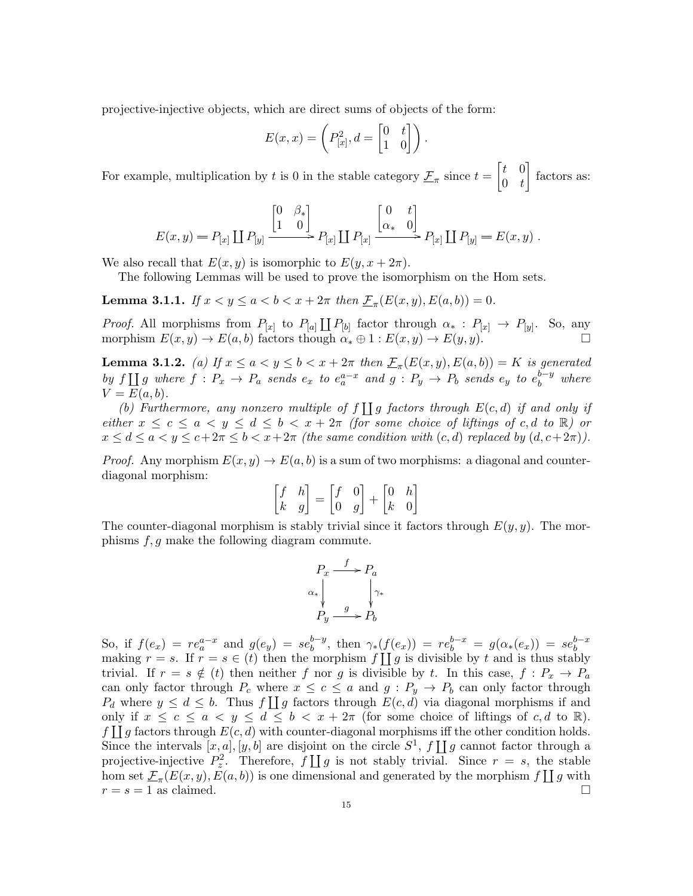projective-injective objects, which are direct sums of objects of the form:

$$
E(x,x) = \begin{pmatrix} P_{[x]}^2, d = \begin{bmatrix} 0 & t \\ 1 & 0 \end{bmatrix} \end{pmatrix}.
$$

For example, multiplication by t is 0 in the stable category  $\mathcal{F}_{\pi}$  since  $t = \begin{bmatrix} t & 0 \\ 0 & t \end{bmatrix}$  $0 \quad t$ factors as:

$$
E(x,y) = P_{[x]} \coprod P_{[y]} \xrightarrow{\begin{bmatrix} 0 & \beta_* \\ 1 & 0 \end{bmatrix}} P_{[x]} \coprod P_{[x]} \xrightarrow{\begin{bmatrix} 0 & t \\ \alpha_* & 0 \end{bmatrix}} P_{[x]} \coprod P_{[y]} = E(x,y) \; .
$$

We also recall that  $E(x, y)$  is isomorphic to  $E(y, x + 2\pi)$ .

The following Lemmas will be used to prove the isomorphism on the Hom sets.

<span id="page-14-0"></span>**Lemma 3.1.1.** If  $x < y \le a < b < x + 2\pi$  then  $\underline{\mathcal{F}}_{\pi}(E(x, y), E(a, b)) = 0$ .

*Proof.* All morphisms from  $P_{[x]}$  to  $P_{[a]} \coprod P_{[b]}$  factor through  $\alpha_* : P_{[x]} \to P_{[y]}$ . So, any morphism  $E(x, y) \to E(a, b)$  factors though  $\alpha_* \oplus 1 : E(x, y) \to E(y, y)$ .

<span id="page-14-1"></span>**Lemma 3.1.2.** (a) If  $x \le a < y \le b < x + 2\pi$  then  $\underline{\mathcal{F}}_{\pi}(E(x, y), E(a, b)) = K$  is generated by  $f \coprod g$  where  $f : P_x \to P_a$  sends  $e_x$  to  $e_a^{a-x}$  and  $g : P_y \to P_b$  sends  $e_y$  to  $e_b^{b-y}$  where  $V = E(a, b).$ 

(b) Furthermore, any nonzero multiple of  $f \prod g$  factors through  $E(c,d)$  if and only if either  $x \leq c \leq a \leq y \leq d \leq b \leq x + 2\pi$  (for some choice of liftings of c, d to R) or  $x \leq d \leq a \leq y \leq c+2\pi \leq b \leq x+2\pi$  (the same condition with  $(c,d)$  replaced by  $(d, c+2\pi)$ ).

*Proof.* Any morphism  $E(x, y) \to E(a, b)$  is a sum of two morphisms: a diagonal and counterdiagonal morphism:

$$
\begin{bmatrix} f & h \\ k & g \end{bmatrix} = \begin{bmatrix} f & 0 \\ 0 & g \end{bmatrix} + \begin{bmatrix} 0 & h \\ k & 0 \end{bmatrix}
$$

The counter-diagonal morphism is stably trivial since it factors through  $E(y, y)$ . The morphisms  $f, g$  make the following diagram commute.

$$
P_x \xrightarrow{f} P_a
$$
  
\n
$$
\alpha_* \downarrow \qquad \qquad \downarrow \gamma_*
$$
  
\n
$$
P_y \xrightarrow{g} P_b
$$

So, if  $f(e_x) = re_a^{a-x}$  and  $g(e_y) = se_b^{b-y}$  $b^{-y}$ , then  $\gamma_*(f(e_x)) = re_b^{b-x} = g(\alpha_*(e_x)) = se_b^{b-x}$ making  $r = s$ . If  $r = s \in (t)$  then the morphism  $f \prod g$  is divisible by t and is thus stably trivial. If  $r = s \notin (t)$  then neither f nor g is divisible by t. In this case,  $f : P_x \to P_a$ can only factor through  $P_c$  where  $x \leq c \leq a$  and  $g : P_y \to P_b$  can only factor through  $P_d$  where  $y \leq d \leq b$ . Thus  $f \coprod g$  factors through  $E(c, d)$  via diagonal morphisms if and only if  $x \leq c \leq a \leq y \leq d \leq b \leq x + 2\pi$  (for some choice of liftings of c, d to R).  $f \prod g$  factors through  $E(c, d)$  with counter-diagonal morphisms iff the other condition holds. Since the intervals  $[x, a], [y, b]$  are disjoint on the circle  $S^1$ ,  $f \coprod g$  cannot factor through a projective-injective  $P_z^2$ . Therefore,  $f \prod g$  is not stably trivial. Since  $r = s$ , the stable hom set  $\underline{\mathcal{F}}_{\pi}(E(x, y), E(a, b))$  is one dimensional and generated by the morphism  $f \coprod g$  with  $r = s = 1$  as claimed.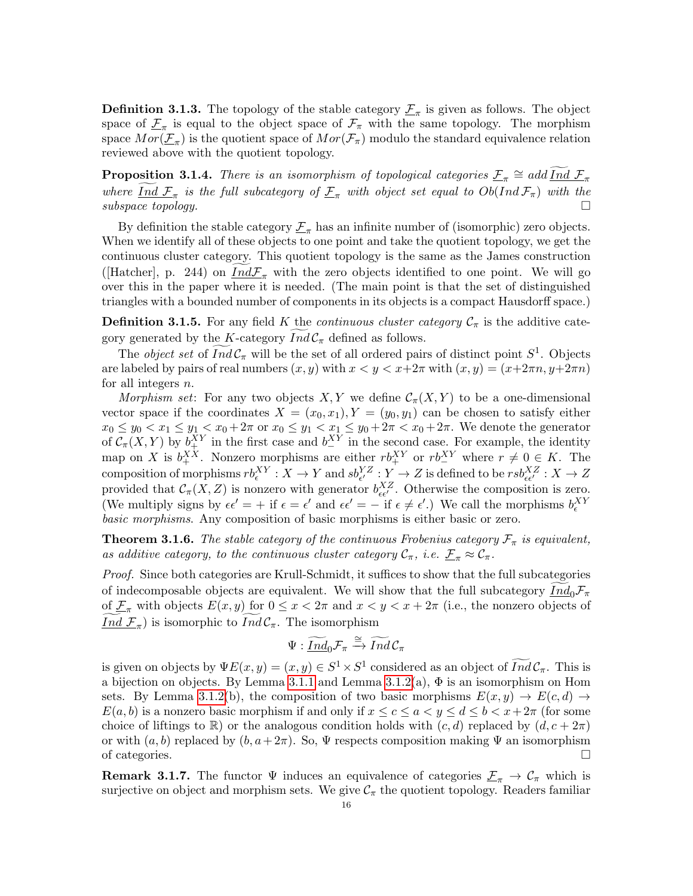**Definition 3.1.3.** The topology of the stable category  $\underline{\mathcal{F}}_{\pi}$  is given as follows. The object space of  $\underline{\mathcal{F}}_{\pi}$  is equal to the object space of  $\mathcal{F}_{\pi}$  with the same topology. The morphism space  $Mor(\underline{\mathcal{F}}_{\pi})$  is the quotient space of  $Mor(\mathcal{F}_{\pi})$  modulo the standard equivalence relation reviewed above with the quotient topology.

**Proposition 3.1.4.** There is an isomorphism of topological categories  $\underline{F}_{\pi} \cong add \underline{\widetilde{Ind}} \ \underline{F}_{\pi}$ where  $\underline{Ind\ \mathcal{F}}_{\pi}$  is the full subcategory of  $\underline{\mathcal{F}}_{\pi}$  with object set equal to  $Ob(Ind\ \mathcal{F}_{\pi})$  with the subspace topology.

By definition the stable category  $\mathcal{F}_{\pi}$  has an infinite number of (isomorphic) zero objects. When we identify all of these objects to one point and take the quotient topology, we get the continuous cluster category. This quotient topology is the same as the James construction ([Hatcher], p. 244) on  $Ind_{\mathcal{F}_{\pi}}$  with the zero objects identified to one point. We will go over this in the paper where it is needed. (The main point is that the set of distinguished triangles with a bounded number of components in its objects is a compact Hausdorff space.)

<span id="page-15-0"></span>**Definition 3.1.5.** For any field K the *continuous cluster category*  $\mathcal{C}_{\pi}$  is the additive category generated by the K-category  $Ind \mathcal{C}_{\pi}$  defined as follows.

The *object set* of  $\overline{Ind}C_{\pi}$  will be the set of all ordered pairs of distinct point  $S^1$ . Objects are labeled by pairs of real numbers  $(x, y)$  with  $x < y < x+2\pi$  with  $(x, y) = (x+2\pi n, y+2\pi n)$ for all integers  $n$ .

Morphism set: For any two objects X, Y we define  $\mathcal{C}_{\pi}(X, Y)$  to be a one-dimensional vector space if the coordinates  $X = (x_0, x_1), Y = (y_0, y_1)$  can be chosen to satisfy either  $x_0 \le y_0 < x_1 \le y_1 < x_0 + 2\pi$  or  $x_0 \le y_1 < x_1 \le y_0 + 2\pi < x_0 + 2\pi$ . We denote the generator of  $\mathcal{C}_{\pi}(X, Y)$  by  $b_{+}^{XY}$  in the first case and  $b_{-}^{XY}$  in the second case. For example, the identity map on X is  $b_+^{XX}$ . Nonzero morphisms are either  $rb_+^{XY}$  or  $rb_-^{XY}$  where  $r \neq 0 \in K$ . The composition of morphisms  $rb_{\epsilon}^{XY}: X \to Y$  and  $sb_{\epsilon'}^{YZ}: Y \to Z$  is defined to be  $rsb_{\epsilon\epsilon'}^{XZ}: X \to Z$ provided that  $\mathcal{C}_{\pi}(X, Z)$  is nonzero with generator  $b_{\epsilon \epsilon'}^{XZ}$ . Otherwise the composition is zero. (We multiply signs by  $\epsilon \epsilon' = +$  if  $\epsilon = \epsilon'$  and  $\epsilon \epsilon' = -$  if  $\epsilon \neq \epsilon'$ .) We call the morphisms  $b_{\epsilon}^{XY}$ basic morphisms. Any composition of basic morphisms is either basic or zero.

<span id="page-15-1"></span>**Theorem 3.1.6.** The stable category of the continuous Frobenius category  $\mathcal{F}_{\pi}$  is equivalent, as additive category, to the continuous cluster category  $\mathcal{C}_{\pi}$ , i.e.  $\underline{\mathcal{F}}_{\pi} \approx \mathcal{C}_{\pi}$ .

Proof. Since both categories are Krull-Schmidt, it suffices to show that the full subcategories of indecomposable objects are equivalent. We will show that the full subcategory  $Ind_0\mathcal{F}_{\pi}$ of  $\underline{\mathcal{F}}_{\pi}$  with objects  $E(x, y)$  for  $0 \le x < 2\pi$  and  $x < y < x + 2\pi$  (i.e., the nonzero objects of  $Ind \mathcal{F}_{\pi}$ ) is isomorphic to  $Ind \mathcal{C}_{\pi}$ . The isomorphism

$$
\Psi: \widetilde{\underline{Ind}}_0 \mathcal{F}_{\pi} \xrightarrow{\cong} \widetilde{Ind}\,\mathcal{C}_{\pi}
$$

is given on objects by  $\Psi E(x, y) = (x, y) \in S^1 \times S^1$  considered as an object of  $\overline{Ind} C_{\pi}$ . This is a bijection on objects. By Lemma [3.1.1](#page-14-0) and Lemma [3.1.2\(](#page-14-1)a),  $\Phi$  is an isomorphism on Hom sets. By Lemma [3.1.2\(](#page-14-1)b), the composition of two basic morphisms  $E(x, y) \to E(c, d) \to$  $E(a, b)$  is a nonzero basic morphism if and only if  $x \leq c \leq a \leq y \leq d \leq b \leq x + 2\pi$  (for some choice of liftings to R) or the analogous condition holds with  $(c, d)$  replaced by  $(d, c + 2\pi)$ or with  $(a, b)$  replaced by  $(b, a+2\pi)$ . So,  $\Psi$  respects composition making  $\Psi$  an isomorphism of categories.  $\Box$ 

**Remark 3.1.7.** The functor  $\Psi$  induces an equivalence of categories  $\underline{\mathcal{F}}_{\pi} \to \mathcal{C}_{\pi}$  which is surjective on object and morphism sets. We give  $\mathcal{C}_{\pi}$  the quotient topology. Readers familiar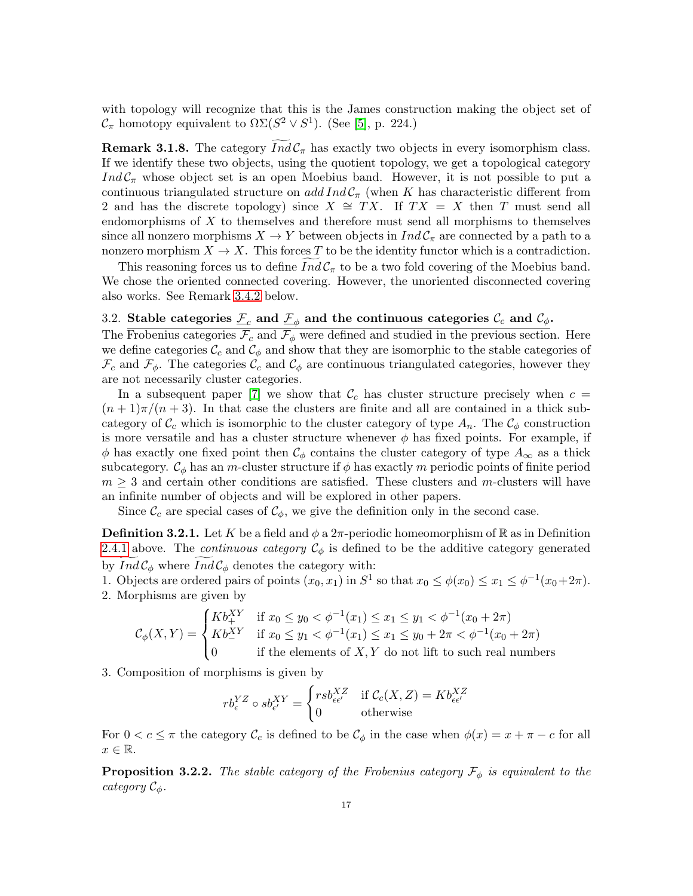with topology will recognize that this is the James construction making the object set of  $\mathcal{C}_{\pi}$  homotopy equivalent to  $\Omega\Sigma(S^2 \vee S^1)$ . (See [\[5\]](#page-19-7), p. 224.)

<span id="page-16-0"></span>**Remark 3.1.8.** The category  $\widetilde{Ind}\mathcal{C}_{\pi}$  has exactly two objects in every isomorphism class. If we identify these two objects, using the quotient topology, we get a topological category  $Ind \mathcal{C}_{\pi}$  whose object set is an open Moebius band. However, it is not possible to put a continuous triangulated structure on add Ind  $\mathcal{C}_{\pi}$  (when K has characteristic different from 2 and has the discrete topology) since  $X \cong TX$ . If  $TX = X$  then T must send all endomorphisms of  $X$  to themselves and therefore must send all morphisms to themselves since all nonzero morphisms  $X \to Y$  between objects in  $Ind \mathcal{C}_{\pi}$  are connected by a path to a nonzero morphism  $X \to X$ . This forces T to be the identity functor which is a contradiction.

This reasoning forces us to define  $Ind_{\mathcal{C}_{\pi}}$  to be a two fold covering of the Moebius band. We chose the oriented connected covering. However, the unoriented disconnected covering also works. See Remark [3.4.2](#page-19-4) below.

3.2. Stable categories  $\underline{\mathcal{F}}_c$  and  $\underline{\mathcal{F}}_\phi$  and the continuous categories  $\mathcal{C}_c$  and  $\mathcal{C}_\phi$ .

The Frobenius categories  $\mathcal{F}_c$  and  $\mathcal{F}_\phi$  were defined and studied in the previous section. Here we define categories  $\mathcal{C}_c$  and  $\mathcal{C}_\phi$  and show that they are isomorphic to the stable categories of  $\mathcal{F}_c$  and  $\mathcal{F}_\phi$ . The categories  $\mathcal{C}_c$  and  $\mathcal{C}_\phi$  are continuous triangulated categories, however they are not necessarily cluster categories.

In a subsequent paper [\[7\]](#page-20-0) we show that  $\mathcal{C}_c$  has cluster structure precisely when  $c =$  $(n+1)\pi/(n+3)$ . In that case the clusters are finite and all are contained in a thick subcategory of  $\mathcal{C}_c$  which is isomorphic to the cluster category of type  $A_n$ . The  $\mathcal{C}_\phi$  construction is more versatile and has a cluster structure whenever  $\phi$  has fixed points. For example, if  $\phi$  has exactly one fixed point then  $\mathcal{C}_{\phi}$  contains the cluster category of type  $A_{\infty}$  as a thick subcategory.  $\mathcal{C}_{\phi}$  has an m-cluster structure if  $\phi$  has exactly m periodic points of finite period  $m \geq 3$  and certain other conditions are satisfied. These clusters and m-clusters will have an infinite number of objects and will be explored in other papers.

Since  $\mathcal{C}_c$  are special cases of  $\mathcal{C}_{\phi}$ , we give the definition only in the second case.

**Definition 3.2.1.** Let K be a field and  $\phi$  a  $2\pi$ -periodic homeomorphism of R as in Definition [2.4.1](#page-12-1) above. The *continuous category*  $\mathcal{C}_{\phi}$  is defined to be the additive category generated by  $Ind \mathcal{C}_{\phi}$  where  $Ind \mathcal{C}_{\phi}$  denotes the category with:

1. Objects are ordered pairs of points  $(x_0, x_1)$  in  $S^1$  so that  $x_0 \le \phi(x_0) \le x_1 \le \phi^{-1}(x_0 + 2\pi)$ . 2. Morphisms are given by

$$
\mathcal{C}_{\phi}(X,Y) = \begin{cases} Kb_{+}^{XY} & \text{if } x_{0} \leq y_{0} < \phi^{-1}(x_{1}) \leq x_{1} \leq y_{1} < \phi^{-1}(x_{0} + 2\pi) \\ Kb_{-}^{XY} & \text{if } x_{0} \leq y_{1} < \phi^{-1}(x_{1}) \leq x_{1} \leq y_{0} + 2\pi < \phi^{-1}(x_{0} + 2\pi) \\ 0 & \text{if the elements of } X, Y \text{ do not lift to such real numbers} \end{cases}
$$

3. Composition of morphisms is given by

$$
rb_{\epsilon}^{YZ} \circ sb_{\epsilon'}^{XY} = \begin{cases} rsb_{\epsilon\epsilon'}^{XZ} & \text{if } \mathcal{C}_c(X, Z) = Kb_{\epsilon\epsilon'}^{XZ} \\ 0 & \text{otherwise} \end{cases}
$$

For  $0 < c \leq \pi$  the category  $\mathcal{C}_c$  is defined to be  $\mathcal{C}_\phi$  in the case when  $\phi(x) = x + \pi - c$  for all  $x \in \mathbb{R}$ .

**Proposition 3.2.2.** The stable category of the Frobenius category  $\mathcal{F}_{\phi}$  is equivalent to the category  $\mathcal{C}_{\phi}$ .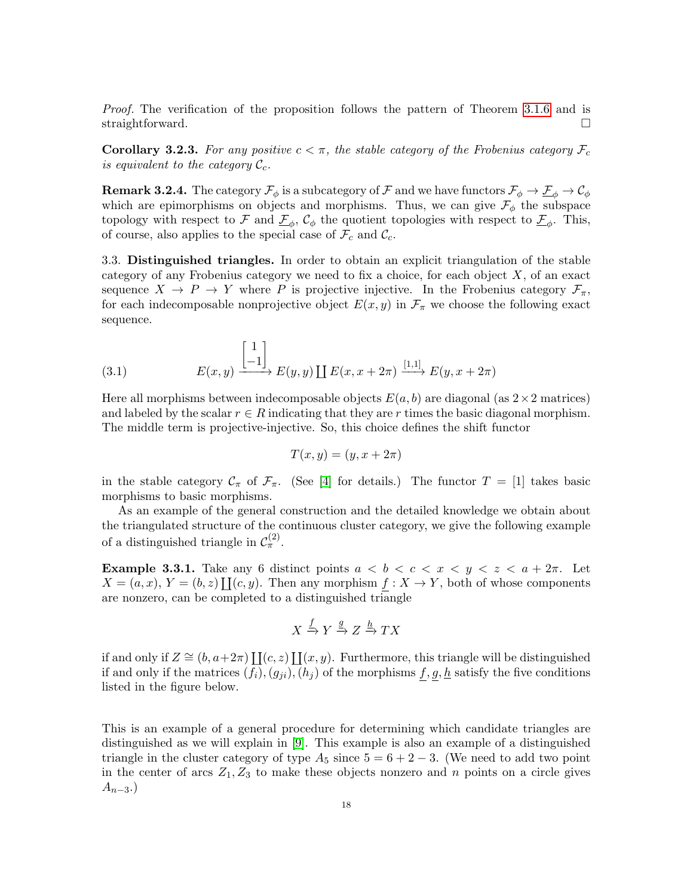Proof. The verification of the proposition follows the pattern of Theorem [3.1.6](#page-15-1) and is straightforward.  $\square$ 

Corollary 3.2.3. For any positive  $c < \pi$ , the stable category of the Frobenius category  $\mathcal{F}_c$ is equivalent to the category  $\mathcal{C}_c$ .

**Remark 3.2.4.** The category  $\mathcal{F}_{\phi}$  is a subcategory of F and we have functors  $\mathcal{F}_{\phi} \to \mathcal{F}_{\phi} \to \mathcal{C}_{\phi}$ which are epimorphisms on objects and morphisms. Thus, we can give  $\mathcal{F}_{\phi}$  the subspace topology with respect to  $\mathcal F$  and  $\underline{\mathcal F}_\phi$ ,  $\mathcal C_\phi$  the quotient topologies with respect to  $\underline{\mathcal F}_\phi$ . This, of course, also applies to the special case of  $\mathcal{F}_c$  and  $\mathcal{C}_c$ .

3.3. Distinguished triangles. In order to obtain an explicit triangulation of the stable category of any Frobenius category we need to fix a choice, for each object  $X$ , of an exact sequence  $X \to P \to Y$  where P is projective injective. In the Frobenius category  $\mathcal{F}_{\pi}$ , for each indecomposable nonprojective object  $E(x, y)$  in  $\mathcal{F}_{\pi}$  we choose the following exact sequence.

<span id="page-17-1"></span>(3.1) 
$$
E(x,y) \xrightarrow{\begin{bmatrix} 1 \\ -1 \end{bmatrix}} E(y,y) \coprod E(x,x+2\pi) \xrightarrow{\begin{bmatrix} 1,1 \end{bmatrix}} E(y,x+2\pi)
$$

Here all morphisms between indecomposable objects  $E(a, b)$  are diagonal (as  $2 \times 2$  matrices) and labeled by the scalar  $r \in R$  indicating that they are r times the basic diagonal morphism. The middle term is projective-injective. So, this choice defines the shift functor

$$
T(x, y) = (y, x + 2\pi)
$$

in the stable category  $\mathcal{C}_{\pi}$  of  $\mathcal{F}_{\pi}$ . (See [\[4\]](#page-19-5) for details.) The functor  $T = [1]$  takes basic morphisms to basic morphisms.

As an example of the general construction and the detailed knowledge we obtain about the triangulated structure of the continuous cluster category, we give the following example of a distinguished triangle in  $\mathcal{C}_{\pi}^{(2)}$ .

<span id="page-17-0"></span>Example 3.3.1. Take any 6 distinct points  $a < b < c < x < y < z < a + 2\pi$ . Let  $X = (a, x), Y = (b, z) \prod(c, y)$ . Then any morphism  $f : X \to Y$ , both of whose components are nonzero, can be completed to a distinguished triangle

$$
X \xrightarrow{f} Y \xrightarrow{g} Z \xrightarrow{h} TX
$$

if and only if  $Z \cong (b, a+2\pi) \coprod (c, z) \coprod (x, y)$ . Furthermore, this triangle will be distinguished if and only if the matrices  $(f_i), (g_{ji}), (h_j)$  of the morphisms  $f, g, h$  satisfy the five conditions listed in the figure below.

This is an example of a general procedure for determining which candidate triangles are distinguished as we will explain in [\[9\]](#page-20-6). This example is also an example of a distinguished triangle in the cluster category of type  $A_5$  since  $5 = 6 + 2 - 3$ . (We need to add two point in the center of arcs  $Z_1, Z_3$  to make these objects nonzero and n points on a circle gives  $(A_{n-3})$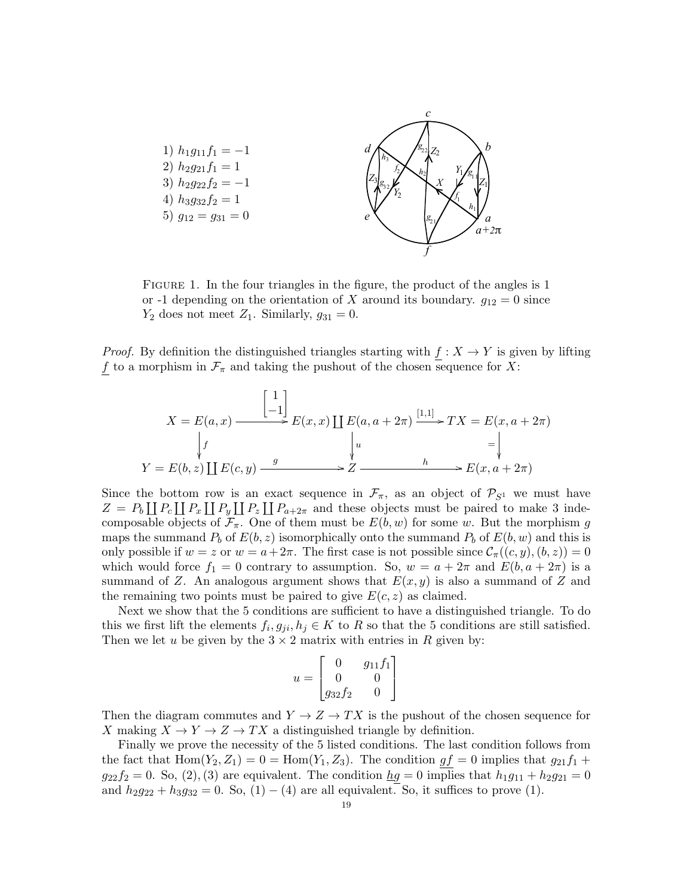

Figure 1. In the four triangles in the figure, the product of the angles is 1 or -1 depending on the orientation of X around its boundary.  $g_{12} = 0$  since  $Y_2$  does not meet  $Z_1$ . Similarly,  $g_{31} = 0$ .

*Proof.* By definition the distinguished triangles starting with  $f: X \rightarrow Y$  is given by lifting f to a morphism in  $\mathcal{F}_{\pi}$  and taking the pushout of the chosen sequence for X:

$$
X = E(a, x) \xrightarrow{\begin{bmatrix} 1 \\ -1 \end{bmatrix}} E(x, x) \coprod E(a, a + 2\pi) \xrightarrow{\begin{bmatrix} 1, 1 \end{bmatrix}} TX = E(x, a + 2\pi)
$$

$$
\downarrow f
$$

$$
Y = E(b, z) \coprod E(c, y) \xrightarrow{g} Z \xrightarrow{h} E(x, a + 2\pi)
$$

Since the bottom row is an exact sequence in  $\mathcal{F}_{\pi}$ , as an object of  $\mathcal{P}_{S^1}$  we must have  $Z = P_b \coprod P_c \coprod P_x \coprod P_y \coprod P_z \coprod P_{a+2\pi}$  and these objects must be paired to make 3 indecomposable objects of  $\mathcal{F}_{\pi}$ . One of them must be  $E(b, w)$  for some w. But the morphism g maps the summand  $P_b$  of  $E(b, z)$  isomorphically onto the summand  $P_b$  of  $E(b, w)$  and this is only possible if  $w = z$  or  $w = a + 2\pi$ . The first case is not possible since  $\mathcal{C}_{\pi}((c, y), (b, z)) = 0$ which would force  $f_1 = 0$  contrary to assumption. So,  $w = a + 2\pi$  and  $E(b, a + 2\pi)$  is a summand of Z. An analogous argument shows that  $E(x, y)$  is also a summand of Z and the remaining two points must be paired to give  $E(c, z)$  as claimed.

Next we show that the 5 conditions are sufficient to have a distinguished triangle. To do this we first lift the elements  $f_i, g_{ji}, h_j \in K$  to R so that the 5 conditions are still satisfied. Then we let u be given by the  $3 \times 2$  matrix with entries in R given by:

$$
u = \begin{bmatrix} 0 & g_{11}f_1 \\ 0 & 0 \\ g_{32}f_2 & 0 \end{bmatrix}
$$

Then the diagram commutes and  $Y \to Z \to TX$  is the pushout of the chosen sequence for X making  $X \to Y \to Z \to TX$  a distinguished triangle by definition.

Finally we prove the necessity of the 5 listed conditions. The last condition follows from the fact that  $\text{Hom}(Y_2, Z_1) = 0 = \text{Hom}(Y_1, Z_3)$ . The condition  $gf = 0$  implies that  $g_{21}f_1 +$  $g_{22}f_2 = 0.$  So, (2), (3) are equivalent. The condition  $\underline{h}g = 0$  implies that  $h_1g_{11} + h_2g_{21} = 0$ and  $h_2g_{22} + h_3g_{32} = 0$ . So,  $(1) - (4)$  are all equivalent. So, it suffices to prove (1).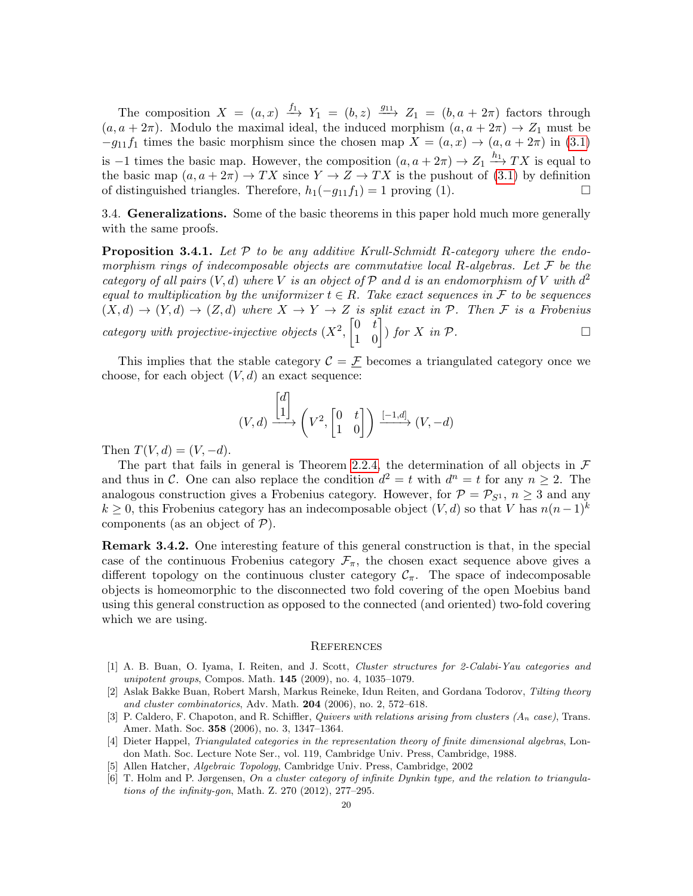The composition  $X = (a, x) \stackrel{f_1}{\longrightarrow} Y_1 = (b, z) \stackrel{g_{11}}{\longrightarrow} Z_1 = (b, a + 2\pi)$  factors through  $(a, a + 2\pi)$ . Modulo the maximal ideal, the induced morphism  $(a, a + 2\pi) \rightarrow Z_1$  must be  $-g_{11}f_1$  times the basic morphism since the chosen map  $X = (a, x) \rightarrow (a, a + 2\pi)$  in [\(3.1\)](#page-17-1) is  $-1$  times the basic map. However, the composition  $(a, a + 2\pi) \to Z_1 \xrightarrow{h_1} TX$  is equal to the basic map  $(a, a + 2\pi) \to TX$  since  $Y \to Z \to TX$  is the pushout of [\(3.1\)](#page-17-1) by definition of distinguished triangles. Therefore,  $h_1(-g_{11}f_1) = 1$  proving (1). □

3.4. **Generalizations.** Some of the basic theorems in this paper hold much more generally with the same proofs.

<span id="page-19-6"></span>**Proposition 3.4.1.** Let  $P$  to be any additive Krull-Schmidt R-category where the endomorphism rings of indecomposable objects are commutative local R-algebras. Let  $\mathcal F$  be the category of all pairs  $(V, d)$  where V is an object of P and d is an endomorphism of V with  $d^2$ equal to multiplication by the uniformizer  $t \in R$ . Take exact sequences in F to be sequences  $(X, d) \to (Y, d) \to (Z, d)$  where  $X \to Y \to Z$  is split exact in  $P$ . Then  $F$  is a Frobenius category with projective-injective objects  $(X^2, \begin{bmatrix} 0 & t \\ 1 & 0 \end{bmatrix})$  for X in P.

This implies that the stable category  $C = \mathcal{F}$  becomes a triangulated category once we choose, for each object  $(V, d)$  an exact sequence:

$$
(V, d) \xrightarrow{\begin{bmatrix} d \\ 1 \end{bmatrix}} \left( V^2, \begin{bmatrix} 0 & t \\ 1 & 0 \end{bmatrix} \right) \xrightarrow{[-1, d]} (V, -d)
$$

Then  $T(V, d) = (V, -d)$ .

The part that fails in general is Theorem [2.2.4,](#page-10-0) the determination of all objects in  $\mathcal F$ and thus in C. One can also replace the condition  $d^2 = t$  with  $d^n = t$  for any  $n \geq 2$ . The analogous construction gives a Frobenius category. However, for  $P = P_{S^1}$ ,  $n \geq 3$  and any  $k \geq 0$ , this Frobenius category has an indecomposable object  $(V, d)$  so that V has  $n(n-1)^k$ components (as an object of  $P$ ).

<span id="page-19-4"></span>Remark 3.4.2. One interesting feature of this general construction is that, in the special case of the continuous Frobenius category  $\mathcal{F}_{\pi}$ , the chosen exact sequence above gives a different topology on the continuous cluster category  $\mathcal{C}_{\pi}$ . The space of indecomposable objects is homeomorphic to the disconnected two fold covering of the open Moebius band using this general construction as opposed to the connected (and oriented) two-fold covering which we are using.

#### **REFERENCES**

- <span id="page-19-0"></span>[1] A. B. Buan, O. Iyama, I. Reiten, and J. Scott, Cluster structures for 2-Calabi-Yau categories and unipotent groups, Compos. Math. 145 (2009), no. 4, 1035–1079.
- <span id="page-19-1"></span>[2] Aslak Bakke Buan, Robert Marsh, Markus Reineke, Idun Reiten, and Gordana Todorov, Tilting theory and cluster combinatorics, Adv. Math. 204 (2006), no. 2, 572–618.
- <span id="page-19-2"></span>[3] P. Caldero, F. Chapoton, and R. Schiffler, *Quivers with relations arising from clusters*  $(A_n \ case)$ , Trans. Amer. Math. Soc. 358 (2006), no. 3, 1347–1364.
- <span id="page-19-5"></span>[4] Dieter Happel, Triangulated categories in the representation theory of finite dimensional algebras, London Math. Soc. Lecture Note Ser., vol. 119, Cambridge Univ. Press, Cambridge, 1988.
- <span id="page-19-7"></span>[5] Allen Hatcher, Algebraic Topology, Cambridge Univ. Press, Cambridge, 2002
- <span id="page-19-3"></span>[6] T. Holm and P. Jørgensen, On a cluster category of infinite Dynkin type, and the relation to triangulations of the infinity-gon, Math. Z. 270 (2012), 277–295.